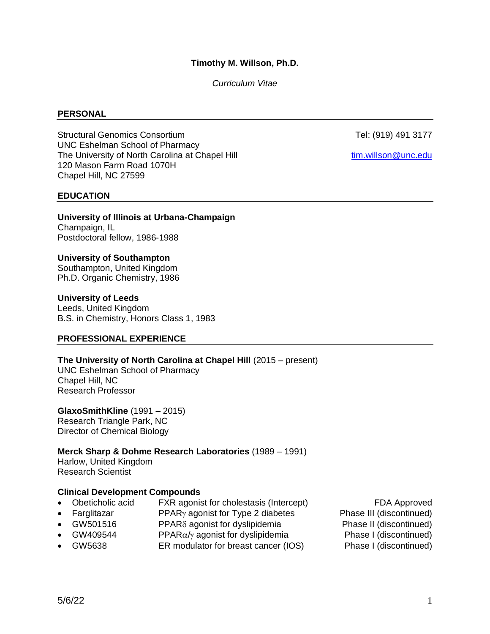## **Timothy M. Willson, Ph.D.**

*Curriculum Vitae*

#### **PERSONAL**

Structural Genomics Consortium and the constant of the Constantine Tel: (919) 491 3177 UNC Eshelman School of Pharmacy The University of North Carolina at Chapel Hill [tim.willson@unc.edu](mailto:tim.willson@unc.edu) 120 Mason Farm Road 1070H Chapel Hill, NC 27599

#### **EDUCATION**

**University of Illinois at Urbana-Champaign** Champaign, IL Postdoctoral fellow, 1986-1988

#### **University of Southampton**

Southampton, United Kingdom Ph.D. Organic Chemistry, 1986

#### **University of Leeds**

Leeds, United Kingdom B.S. in Chemistry, Honors Class 1, 1983

## **PROFESSIONAL EXPERIENCE**

**The University of North Carolina at Chapel Hill** (2015 – present)

UNC Eshelman School of Pharmacy Chapel Hill, NC Research Professor

**GlaxoSmithKline** (1991 – 2015) Research Triangle Park, NC Director of Chemical Biology

## **Merck Sharp & Dohme Research Laboratories** (1989 – 1991)

Harlow, United Kingdom Research Scientist

#### **Clinical Development Compounds**

- Obeticholic acid FXR agonist for cholestasis (Intercept) FDA Approved
- Farglitazar **PPAR** agonist for Type 2 diabetes Phase III (discontinued)
- GW501516 PPAR $\delta$  agonist for dyslipidemia Phase II (discontinued)
- GW409544 PPAR $\alpha/\gamma$  agonist for dyslipidemia Phase I (discontinued)
- GW5638 ER modulator for breast cancer (IOS) Phase I (discontinued)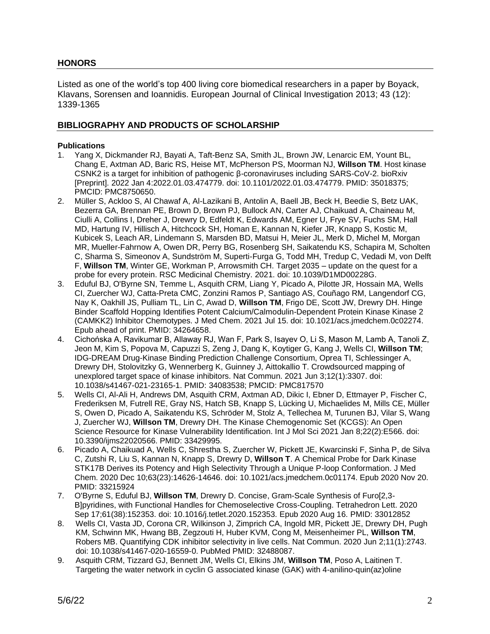## **HONORS**

Listed as one of the world's top 400 living core biomedical researchers in a paper by Boyack, Klavans, Sorensen and Ioannidis. European Journal of Clinical Investigation 2013; 43 (12): 1339-1365

## **BIBLIOGRAPHY AND PRODUCTS OF SCHOLARSHIP**

#### **Publications**

- 1. Yang X, Dickmander RJ, Bayati A, Taft-Benz SA, Smith JL, Brown JW, Lenarcic EM, Yount BL, Chang E, Axtman AD, Baric RS, Heise MT, McPherson PS, Moorman NJ, **Willson TM**. Host kinase CSNK2 is a target for inhibition of pathogenic β-coronaviruses including SARS-CoV-2. bioRxiv [Preprint]. 2022 Jan 4:2022.01.03.474779. doi: 10.1101/2022.01.03.474779. PMID: 35018375; PMCID: PMC8750650.
- 2. Müller S, Ackloo S, Al Chawaf A, Al-Lazikani B, Antolin A, Baell JB, Beck H, Beedie S, Betz UAK, Bezerra GA, Brennan PE, Brown D, Brown PJ, Bullock AN, Carter AJ, Chaikuad A, Chaineau M, Ciulli A, Collins I, Dreher J, Drewry D, Edfeldt K, Edwards AM, Egner U, Frye SV, Fuchs SM, Hall MD, Hartung IV, Hillisch A, Hitchcock SH, Homan E, Kannan N, Kiefer JR, Knapp S, Kostic M, Kubicek S, Leach AR, Lindemann S, Marsden BD, Matsui H, Meier JL, Merk D, Michel M, Morgan MR, Mueller-Fahrnow A, Owen DR, Perry BG, Rosenberg SH, Saikatendu KS, Schapira M, Scholten C, Sharma S, Simeonov A, Sundström M, Superti-Furga G, Todd MH, Tredup C, Vedadi M, von Delft F, **Willson TM**, Winter GE, Workman P, Arrowsmith CH. Target 2035 – update on the quest for a probe for every protein. RSC Medicinal Chemistry. 2021. doi: 10.1039/D1MD00228G.
- 3. Eduful BJ, O'Byrne SN, Temme L, Asquith CRM, Liang Y, Picado A, Pilotte JR, Hossain MA, Wells CI, Zuercher WJ, Catta-Preta CMC, Zonzini Ramos P, Santiago AS, Couñago RM, Langendorf CG, Nay K, Oakhill JS, Pulliam TL, Lin C, Awad D, **Willson TM**, Frigo DE, Scott JW, Drewry DH. Hinge Binder Scaffold Hopping Identifies Potent Calcium/Calmodulin-Dependent Protein Kinase Kinase 2 (CAMKK2) Inhibitor Chemotypes. J Med Chem. 2021 Jul 15. doi: 10.1021/acs.jmedchem.0c02274. Epub ahead of print. PMID: 34264658.
- 4. Cichońska A, Ravikumar B, Allaway RJ, Wan F, Park S, Isayev O, Li S, Mason M, Lamb A, Tanoli Z, Jeon M, Kim S, Popova M, Capuzzi S, Zeng J, Dang K, Koytiger G, Kang J, Wells CI, **Willson TM**; IDG-DREAM Drug-Kinase Binding Prediction Challenge Consortium, Oprea TI, Schlessinger A, Drewry DH, Stolovitzky G, Wennerberg K, Guinney J, Aittokallio T. Crowdsourced mapping of unexplored target space of kinase inhibitors. Nat Commun. 2021 Jun 3;12(1):3307. doi: 10.1038/s41467-021-23165-1. PMID: 34083538; PMCID: PMC817570
- 5. Wells CI, Al-Ali H, Andrews DM, Asquith CRM, Axtman AD, Dikic I, Ebner D, Ettmayer P, Fischer C, Frederiksen M, Futrell RE, Gray NS, Hatch SB, Knapp S, Lücking U, Michaelides M, Mills CE, Müller S, Owen D, Picado A, Saikatendu KS, Schröder M, Stolz A, Tellechea M, Turunen BJ, Vilar S, Wang J, Zuercher WJ, **Willson TM**, Drewry DH. The Kinase Chemogenomic Set (KCGS): An Open Science Resource for Kinase Vulnerability Identification. Int J Mol Sci 2021 Jan 8;22(2):E566. doi: 10.3390/ijms22020566. PMID: 33429995.
- 6. Picado A, Chaikuad A, Wells C, Shrestha S, Zuercher W, Pickett JE, Kwarcinski F, Sinha P, de Silva C, Zutshi R, Liu S, Kannan N, Knapp S, Drewry D, **Willson T**. A Chemical Probe for Dark Kinase STK17B Derives its Potency and High Selectivity Through a Unique P-loop Conformation. J Med Chem. 2020 Dec 10;63(23):14626-14646. doi: 10.1021/acs.jmedchem.0c01174. Epub 2020 Nov 20. PMID: 33215924
- 7. O'Byrne S, Eduful BJ, **Willson TM**, Drewry D. Concise, Gram-Scale Synthesis of Furo[2,3- B]pyridines, with Functional Handles for Chemoselective Cross-Coupling. Tetrahedron Lett. 2020 Sep 17;61(38):152353. doi: 10.1016/j.tetlet.2020.152353. Epub 2020 Aug 16. PMID: 33012852
- 8. Wells CI, Vasta JD, Corona CR, Wilkinson J, Zimprich CA, Ingold MR, Pickett JE, Drewry DH, Pugh KM, Schwinn MK, Hwang BB, Zegzouti H, Huber KVM, Cong M, Meisenheimer PL, **Willson TM**, Robers MB. Quantifying CDK inhibitor selectivity in live cells. Nat Commun. 2020 Jun 2;11(1):2743. doi: 10.1038/s41467-020-16559-0. PubMed PMID: 32488087.
- 9. Asquith CRM, Tizzard GJ, Bennett JM, Wells CI, Elkins JM, **Willson TM**, Poso A, Laitinen T. Targeting the water network in cyclin G associated kinase (GAK) with 4-anilino-quin(az)oline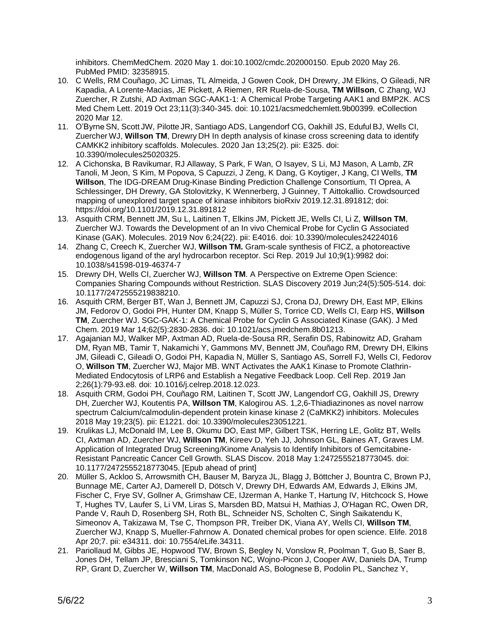inhibitors. ChemMedChem. 2020 May 1. doi:10.1002/cmdc.202000150. Epub 2020 May 26. PubMed PMID: 32358915.

- 10. C Wells, RM Couñago, JC Limas, TL Almeida, J Gowen Cook, DH Drewry, JM Elkins, O Gileadi, NR Kapadia, A Lorente-Macias, JE Pickett, A Riemen, RR Ruela-de-Sousa, **TM Willson**, C Zhang, WJ Zuercher, R Zutshi, AD Axtman SGC-AAK1-1: A Chemical Probe Targeting AAK1 and BMP2K. ACS Med Chem Lett. 2019 Oct 23;11(3):340-345. doi: 10.1021/acsmedchemlett.9b00399. eCollection 2020 Mar 12.
- 11. O'Byrne SN, Scott JW, PilotteJR, Santiago ADS, Langendorf CG, Oakhill JS, Eduful BJ, Wells CI, Zuercher WJ, **Willson TM**, Drewry DH In depth analysis of kinase cross screening data to identify CAMKK2 inhibitory scaffolds. Molecules. 2020 Jan 13;25(2). pii: E325. doi: 10.3390/molecules25020325.
- 12. A Cichonska, B Ravikumar, RJ Allaway, S Park, F Wan, O Isayev, S Li, MJ Mason, A Lamb, ZR Tanoli, M Jeon, S Kim, M Popova, S Capuzzi, J Zeng, K Dang, G Koytiger, J Kang, CI Wells, **TM Willson**, The IDG-DREAM Drug-Kinase Binding Prediction Challenge Consortium, TI Oprea, A Schlessinger, DH Drewry, GA Stolovitzky, K Wennerberg, J Guinney, T Aittokallio. Crowdsourced mapping of unexplored target space of kinase inhibitors bioRxiv 2019.12.31.891812; doi: https://doi.org/10.1101/2019.12.31.891812
- 13. Asquith CRM, Bennett JM, Su L, Laitinen T, Elkins JM, Pickett JE, Wells CI, Li Z, **Willson TM**, Zuercher WJ. Towards the Development of an In vivo Chemical Probe for Cyclin G Associated Kinase (GAK). Molecules. 2019 Nov 6;24(22). pii: E4016. doi: 10.3390/molecules24224016
- 14. Zhang C, Creech K, Zuercher WJ, **Willson TM.** Gram-scale synthesis of FICZ, a photoreactive endogenous ligand of the aryl hydrocarbon receptor. Sci Rep. 2019 Jul 10;9(1):9982 doi: 10.1038/s41598-019-46374-7
- 15. Drewry DH, Wells CI, Zuercher WJ, **Willson TM**. A Perspective on Extreme Open Science: Companies Sharing Compounds without Restriction. SLAS Discovery 2019 Jun;24(5):505-514. doi: 10.1177/2472555219838210.
- 16. Asquith CRM, Berger BT, Wan J, Bennett JM, Capuzzi SJ, Crona DJ, Drewry DH, East MP, Elkins JM, Fedorov O, Godoi PH, Hunter DM, Knapp S, Müller S, Torrice CD, Wells CI, Earp HS, **Willson TM**, Zuercher WJ. SGC-GAK-1: A Chemical Probe for Cyclin G Associated Kinase (GAK). J Med Chem. 2019 Mar 14;62(5):2830-2836. doi: 10.1021/acs.jmedchem.8b01213.
- 17. Agajanian MJ, Walker MP, Axtman AD, Ruela-de-Sousa RR, Serafin DS, Rabinowitz AD, Graham DM, Ryan MB, Tamir T, Nakamichi Y, Gammons MV, Bennett JM, Couñago RM, Drewry DH, Elkins JM, Gileadi C, Gileadi O, Godoi PH, Kapadia N, Müller S, Santiago AS, Sorrell FJ, Wells CI, Fedorov O, **Willson TM**, Zuercher WJ, Major MB. WNT Activates the AAK1 Kinase to Promote Clathrin-Mediated Endocytosis of LRP6 and Establish a Negative Feedback Loop. Cell Rep. 2019 Jan 2;26(1):79-93.e8. doi: 10.1016/j.celrep.2018.12.023.
- 18. Asquith CRM, Godoi PH, Couñago RM, Laitinen T, Scott JW, Langendorf CG, Oakhill JS, Drewry DH, Zuercher WJ, Koutentis PA, **Willson TM**, Kalogirou AS. 1,2,6-Thiadiazinones as novel narrow spectrum Calcium/calmodulin-dependent protein kinase kinase 2 (CaMKK2) inhibitors. Molecules 2018 May 19;23(5). pii: E1221. doi: 10.3390/molecules23051221.
- 19. Krulikas LJ, McDonald IM, Lee B, Okumu DO, East MP, Gilbert TSK, Herring LE, Golitz BT, Wells CI, Axtman AD, Zuercher WJ, **Willson TM**, Kireev D, Yeh JJ, Johnson GL, Baines AT, Graves LM. Application of Integrated Drug Screening/Kinome Analysis to Identify Inhibitors of Gemcitabine-Resistant Pancreatic Cancer Cell Growth. SLAS Discov. 2018 May 1:2472555218773045. doi: 10.1177/2472555218773045. [Epub ahead of print]
- 20. Müller S, Ackloo S, Arrowsmith CH, Bauser M, Baryza JL, Blagg J, Böttcher J, Bountra C, Brown PJ, Bunnage ME, Carter AJ, Damerell D, Dötsch V, Drewry DH, Edwards AM, Edwards J, Elkins JM, Fischer C, Frye SV, Gollner A, Grimshaw CE, IJzerman A, Hanke T, Hartung IV, Hitchcock S, Howe T, Hughes TV, Laufer S, Li VM, Liras S, Marsden BD, Matsui H, Mathias J, O'Hagan RC, Owen DR, Pande V, Rauh D, Rosenberg SH, Roth BL, Schneider NS, Scholten C, Singh Saikatendu K, Simeonov A, Takizawa M, Tse C, Thompson PR, Treiber DK, Viana AY, Wells CI, **Willson TM**, Zuercher WJ, Knapp S, Mueller-Fahrnow A. Donated chemical probes for open science. Elife. 2018 Apr 20;7. pii: e34311. doi: 10.7554/eLife.34311.
- 21. Pariollaud M, Gibbs JE, Hopwood TW, Brown S, Begley N, Vonslow R, Poolman T, Guo B, Saer B, Jones DH, Tellam JP, Bresciani S, Tomkinson NC, Wojno-Picon J, Cooper AW, Daniels DA, Trump RP, Grant D, Zuercher W, **Willson TM**, MacDonald AS, Bolognese B, Podolin PL, Sanchez Y,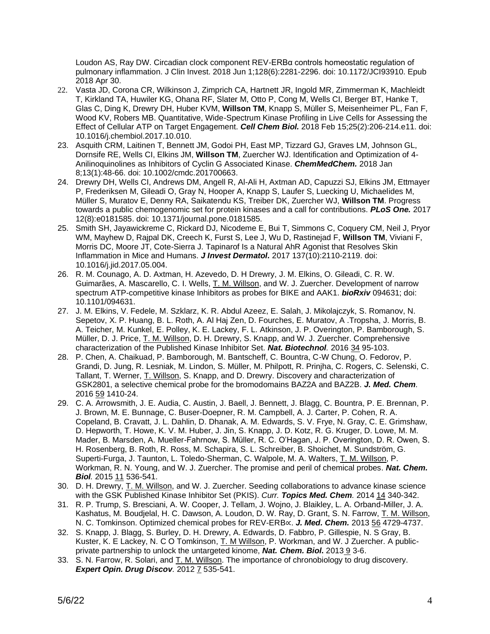Loudon AS, Ray DW. Circadian clock component REV-ERBα controls homeostatic regulation of pulmonary inflammation. J Clin Invest. 2018 Jun 1;128(6):2281-2296. doi: 10.1172/JCI93910. Epub 2018 Apr 30.

- 22. Vasta JD, Corona CR, Wilkinson J, Zimprich CA, Hartnett JR, Ingold MR, Zimmerman K, Machleidt T, Kirkland TA, Huwiler KG, Ohana RF, Slater M, Otto P, Cong M, Wells CI, Berger BT, Hanke T, Glas C, Ding K, Drewry DH, Huber KVM, **Willson TM**, Knapp S, Müller S, Meisenheimer PL, Fan F, Wood KV, Robers MB. Quantitative, Wide-Spectrum Kinase Profiling in Live Cells for Assessing the Effect of Cellular ATP on Target Engagement. *Cell Chem Biol.* 2018 Feb 15;25(2):206-214.e11. doi: 10.1016/j.chembiol.2017.10.010.
- 23. Asquith CRM, Laitinen T, Bennett JM, Godoi PH, East MP, Tizzard GJ, Graves LM, Johnson GL, Dornsife RE, Wells CI, Elkins JM, **Willson TM**, Zuercher WJ. Identification and Optimization of 4- Anilinoquinolines as Inhibitors of Cyclin G Associated Kinase. *ChemMedChem.* 2018 Jan 8;13(1):48-66. doi: 10.1002/cmdc.201700663.
- 24. Drewry DH, Wells CI, Andrews DM, Angell R, Al-Ali H, Axtman AD, Capuzzi SJ, Elkins JM, Ettmayer P, Frederiksen M, Gileadi O, Gray N, Hooper A, Knapp S, Laufer S, Luecking U, Michaelides M, Müller S, Muratov E, Denny RA, Saikatendu KS, Treiber DK, Zuercher WJ, **Willson TM**. Progress towards a public chemogenomic set for protein kinases and a call for contributions. *PLoS One.* 2017 12(8):e0181585. doi: 10.1371/journal.pone.0181585.
- 25. Smith SH, Jayawickreme C, Rickard DJ, Nicodeme E, Bui T, Simmons C, Coquery CM, Neil J, Pryor WM, Mayhew D, Rajpal DK, Creech K, Furst S, Lee J, Wu D, Rastinejad F, **Willson TM**, Viviani F, Morris DC, Moore JT, Cote-Sierra J. Tapinarof Is a Natural AhR Agonist that Resolves Skin Inflammation in Mice and Humans. *J Invest Dermatol.* 2017 137(10):2110-2119. doi: 10.1016/j.jid.2017.05.004.
- 26. R. M. Counago, A. D. Axtman, H. Azevedo, D. H Drewry, J. M. Elkins, O. Gileadi, C. R. W. Guimarães, A. Mascarello, C. I. Wells, T. M. Willson, and W. J. Zuercher. Development of narrow spectrum ATP-competitive kinase Inhibitors as probes for BIKE and AAK1. *bioRxiv* 094631; doi: 10.1101/094631.
- 27. J. M. Elkins, V. Fedele, M. Szklarz, K. R. Abdul Azeez, E. Salah, J. Mikolajczyk, S. Romanov, N. Sepetov, X. P. Huang, B. L. Roth, A. Al Haj Zen, D. Fourches, E. Muratov, A .Tropsha, J. Morris, B. A. Teicher, M. Kunkel, E. Polley, K. E. Lackey, F. L. Atkinson, J. P. Overington, P. Bamborough, S. Müller, D. J. Price, T. M. Willson, D. H. Drewry, S. Knapp, and W. J. Zuercher. Comprehensive characterization of the Published Kinase Inhibitor Set. *Nat. Biotechnol.* 2016 34 95-103.
- 28. P. Chen, A. Chaikuad, P. Bamborough, M. Bantscheff, C. Bountra, C-W Chung, O. Fedorov, P. Grandi, D. Jung, R. Lesniak, M. Lindon, S. Müller, M. Philpott, R. Prinjha, C. Rogers, C. Selenski, C. Tallant, T. Werner, T. Willson, S. Knapp, and D. Drewry. Discovery and characterization of GSK2801, a selective chemical probe for the bromodomains BAZ2A and BAZ2B. *J. Med. Chem.* 2016 59 1410-24.
- 29. C. A. Arrowsmith, J. E. Audia, C. Austin, J. Baell, J. Bennett, J. Blagg, C. Bountra, P. E. Brennan, P. J. Brown, M. E. Bunnage, C. Buser-Doepner, R. M. Campbell, A. J. Carter, P. Cohen, R. A. Copeland, B. Cravatt, J. L. Dahlin, D. Dhanak, A. M. Edwards, S. V. Frye, N. Gray, C. E. Grimshaw, D. Hepworth, T. Howe, K. V. M. Huber, J. Jin, S. Knapp, J. D. Kotz, R. G. Kruger, D. Lowe, M. M. Mader, B. Marsden, A. Mueller-Fahrnow, S. Müller, R. C. O'Hagan, J. P. Overington, D. R. Owen, S. H. Rosenberg, B. Roth, R. Ross, M. Schapira, S. L. Schreiber, B. Shoichet, M. Sundström, G. Superti-Furga, J. Taunton, L. Toledo-Sherman, C. Walpole, M. A. Walters, T. M. Willson, P. Workman, R. N. Young, and W. J. Zuercher. The promise and peril of chemical probes. *Nat. Chem. Biol.* 2015 11 536-541.
- 30. D. H. Drewry, T. M. Willson, and W. J. Zuercher. Seeding collaborations to advance kinase science with the GSK Published Kinase Inhibitor Set (PKIS). *Curr. Topics Med. Chem.* 2014 14 340-342.
- 31. R. P. Trump, S. Bresciani, A. W. Cooper, J. Tellam, J. Wojno, J. Blaikley, L. A. Orband-Miller, J. A. Kashatus, M. Boudjelal, H. C. Dawson, A. Loudon, D. W. Ray, D. Grant, S. N. Farrow, T. M. Willson, N. C. Tomkinson. Optimized chemical probes for REV-ERB∝. *J. Med. Chem.* 2013 56 4729-4737.
- 32. S. Knapp, J. Blagg, S. Burley, D. H. Drewry, A. Edwards, D. Fabbro, P. Gillespie, N. S Gray, B. Kuster, K. E Lackey, N. C O Tomkinson, T. M Willson, P. Workman, and W. J Zuercher. A publicprivate partnership to unlock the untargeted kinome, *Nat. Chem. Biol***.** 2013 9 3-6.
- 33. S. N. Farrow, R. Solari, and T. M. Willson. The importance of chronobiology to drug discovery. *Expert Opin. Drug Discov.* 2012 7 535-541.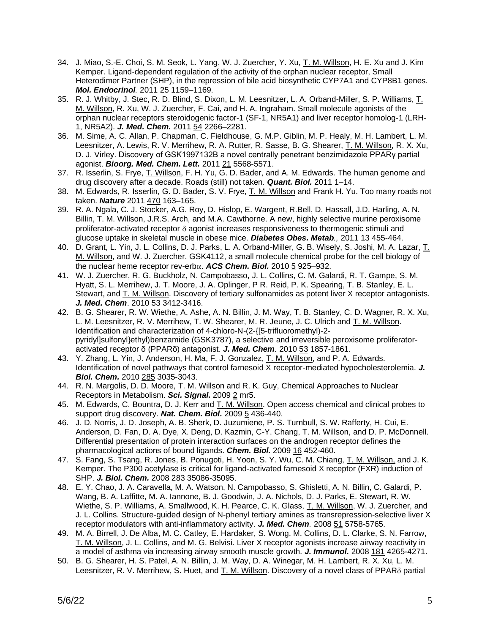- 34. J. Miao, S.-E. Choi, S. M. Seok, L. Yang, W. J. Zuercher, Y. Xu, T. M. Willson, H. E. Xu and J. Kim Kemper. Ligand-dependent regulation of the activity of the orphan nuclear receptor, Small Heterodimer Partner (SHP), in the repression of bile acid biosynthetic CYP7A1 and CYP8B1 genes. *Mol. Endocrinol.* 2011 25 1159–1169.
- 35. R. J. Whitby, J. Stec, R. D. Blind, S. Dixon, L. M. Leesnitzer, L. A. Orband-Miller, S. P. Williams, T. M. Willson, R. Xu, W. J. Zuercher, F. Cai, and H. A. Ingraham. Small molecule agonists of the orphan nuclear receptors steroidogenic factor-1 (SF-1, NR5A1) and liver receptor homolog-1 (LRH-1, NR5A2). *J. Med. Chem.* 2011 54 2266–2281.
- 36. M. [Sime,](http://www.sciencedirect.com/science/article/pii/S0960894X11008717) A. [C. Allan,](http://www.sciencedirect.com/science/article/pii/S0960894X11008717) P. [Chapman,](http://www.sciencedirect.com/science/article/pii/S0960894X11008717) C. [Fieldhouse,](http://www.sciencedirect.com/science/article/pii/S0960894X11008717) G. [M.P. Giblin,](http://www.sciencedirect.com/science/article/pii/S0960894X11008717) M. [P. Healy,](http://www.sciencedirect.com/science/article/pii/S0960894X11008717) M. [H. Lambert,](http://www.sciencedirect.com/science/article/pii/S0960894X11008717) L. [M.](http://www.sciencedirect.com/science/article/pii/S0960894X11008717)  [Leesnitzer,](http://www.sciencedirect.com/science/article/pii/S0960894X11008717) A. [Lewis,](http://www.sciencedirect.com/science/article/pii/S0960894X11008717) R. [V. Merrihew,](http://www.sciencedirect.com/science/article/pii/S0960894X11008717) R. [A. Rutter,](http://www.sciencedirect.com/science/article/pii/S0960894X11008717) R. [Sasse,](http://www.sciencedirect.com/science/article/pii/S0960894X11008717) B. [G. Shearer,](http://www.sciencedirect.com/science/article/pii/S0960894X11008717) T. [M. Willson,](http://www.sciencedirect.com/science/article/pii/S0960894X11008717) R. [X. Xu,](http://www.sciencedirect.com/science/article/pii/S0960894X11008717) D. [J. Virley.](http://www.sciencedirect.com/science/article/pii/S0960894X11008717) Discovery of GSK1997132B a novel centrally penetrant benzimidazole PPARγ partial agonist. *Bioorg. Med. Chem. Lett.* 2011 21 5568-5571.
- 37. R. Isserlin, S. Frye, T. Willson, F. H. Yu, G. D. Bader, and A. M. Edwards. The human genome and drug discovery after a decade. Roads (still) not taken. *Quant. Biol.* 2011 1–14.
- 38. M. Edwards, R. Isserlin, G. D. Bader, S. V. Frye, T. M. Willson and Frank H. Yu. Too many roads not taken. *Nature* 2011 470 163–165.
- 39. R. A. Ngala, C. J. Stocker, A.G. Roy, D. Hislop, E. Wargent, R.Bell, D. Hassall, J.D. Harling, A. N. Billin, T. M. Willson, J.R.S. Arch, and M.A. Cawthorne. A new, highly selective murine peroxisome proliferator-activated receptor  $\delta$  agonist increases responsiveness to thermogenic stimuli and glucose uptake in skeletal muscle in obese mice. *Diabetes Obes. Metab.,* 2011 13 455-464.
- 40. D. Grant, L. Yin, J. L. Collins, D. J. Parks, L. A. Orband-Miller, G. B. Wisely, S. Joshi, M. A. Lazar, T. M. Willson, and W. J. Zuercher. GSK4112, a small molecule chemical probe for the cell biology of the nuclear heme receptor rev-erb $\alpha$ . **ACS Chem. Biol.** 2010 5 925–932.
- 41. W. J. Zuercher, R. G. Buckholz, N. Campobasso, J. L. Collins, C. M. Galardi, R. T. Gampe, S. M. Hyatt, S. L. Merrihew, J. T. Moore, J. A. Oplinger, P R. Reid, P. K. Spearing, T. B. Stanley, E. L. Stewart, and T. M. Willson. Discovery of tertiary sulfonamides as potent liver X receptor antagonists. **J. Med. Chem.** 2010 53 3412-3416.
- 42. B. G. Shearer, R. W. Wiethe, A. Ashe, A. N. Billin, J. M. Way, T. B. Stanley, C. D. Wagner, R. X. Xu, L. M. Leesnitzer, R. V. Merrihew, T. W. Shearer, M. R. Jeune, J. C. Ulrich and T. M. Willson. Identification and characterization of 4-chloro-N-(2-{[5-trifluoromethyl)-2 pyridyl]sulfonyl}ethyl)benzamide (GSK3787), a selective and irreversible peroxisome proliferatoractivated receptor δ (PPARδ) antagonist. *J. Med. Chem.* 2010 53 1857-1861.
- 43. Y. Zhang, L. Yin, J. Anderson, H. Ma, F. J. Gonzalez, T. M. Willson, and P. A. Edwards. Identification of novel pathways that control farnesoid X receptor-mediated hypocholesterolemia. *J. Biol. Chem.* 2010 285 3035-3043.
- 44. R. N. Margolis, D. D. Moore, T. M. Willson and R. K. Guy, Chemical Approaches to Nuclear Receptors in Metabolism. *Sci. Signal.* 2009 2 mr5.
- 45. M. Edwards, C. Bountra, D. J. Kerr and T. M. Willson. Open access chemical and clinical probes to support drug discovery. *Nat. Chem. Biol.* 2009 5 436-440.
- 46. J. D. Norris, J. D. Joseph, A. B. Sherk, D. Juzumiene, P. S. Turnbull, S. W. Rafferty, H. Cui, E. Anderson, D. Fan, D. A. Dye, X. Deng, D. Kazmin, C-Y. Chang, T. M. Willson, and D. P. McDonnell. Differential presentation of protein interaction surfaces on the androgen receptor defines the pharmacological actions of bound ligands. *Chem. Biol.* 2009 16 452-460.
- 47. S. Fang, S. Tsang, R. Jones, B. Ponugoti, H. Yoon, S. Y. Wu, C. M. Chiang, T. M. Willson, and J. K. Kemper. The P300 acetylase is critical for ligand-activated farnesoid X receptor (FXR) induction of SHP. *J. Biol. Chem.* 2008 283 35086-35095.
- 48. E. Y. Chao, J. A. Caravella, M. A. Watson, N. Campobasso, S. Ghisletti, A. N. Billin, C. Galardi, P. Wang, B. A. Laffitte, M. A. Iannone, B. J. Goodwin, J. A. Nichols, D. J. Parks, E. Stewart, R. W. Wiethe, S. P. Williams, A. Smallwood, K. H. Pearce, C. K. Glass, T. M. Willson, W. J. Zuercher, and J. L. Collins. Structure-guided design of N-phenyl tertiary amines as transrepression-selective liver X receptor modulators with anti-inflammatory activity. *J. Med. Chem.* 2008 51 5758-5765.
- 49. M. A. Birrell, J. De Alba, M. C. Catley, E. Hardaker, S. Wong, M. Collins, D. L. Clarke, S. N. Farrow, T. M. Willson, J. L. Collins, and M. G. Belvisi. Liver X receptor agonists increase airway reactivity in a model of asthma via increasing airway smooth muscle growth. *J. Immunol.* 2008 181 4265-4271.
- 50. B. G. Shearer, H. S. Patel, A. N. Billin, J. M. Way, D. A. Winegar, M. H. Lambert, R. X. Xu, L. M. Leesnitzer, R. V. Merrihew, S. Huet, and T. M. Willson, Discovery of a novel class of PPAR<sub>o</sub> partial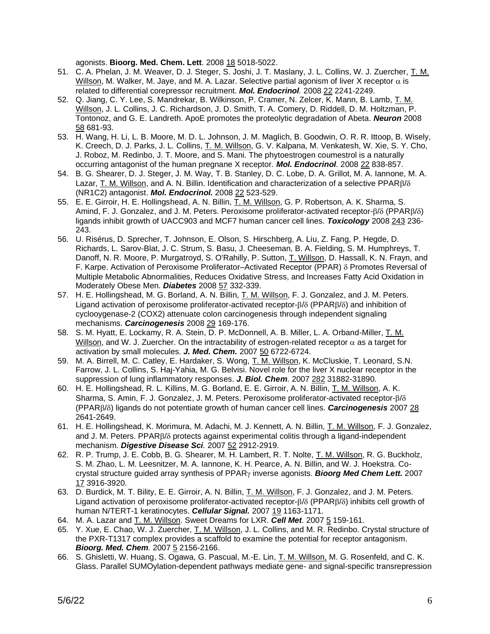agonists. **Bioorg. Med. Chem. Lett**. 2008 18 5018-5022.

- 51. C. A. Phelan, J. M. Weaver, D. J. Steger, S. Joshi, J. T. Maslany, J. L. Collins, W. J. Zuercher, T. M. Willson, M. Walker, M. Jaye, and M. A. Lazar. Selective partial agonism of liver X receptor  $\alpha$  is related to differential corepressor recruitment. *Mol. Endocrinol.* 2008 22 2241-2249.
- 52. Q. Jiang, C. Y. Lee, S. Mandrekar, B. Wilkinson, P. Cramer, N. Zelcer, K. Mann, B. Lamb, T. M. Willson, J. L. Collins, J. C. Richardson, J. D. Smith, T. A. Comery, D. Riddell, D. M. Holtzman, P. Tontonoz, and G. E. Landreth. ApoE promotes the proteolytic degradation of Abeta. *Neuron* 2008 58 681-93.
- 53. H. Wang, H. Li, L. B. Moore, M. D. L. Johnson, J. M. Maglich, B. Goodwin, O. R. R. Ittoop, B. Wisely, K. Creech, D. J. Parks, J. L. Collins, T. M. Willson, G. V. Kalpana, M. Venkatesh, W. Xie, S. Y. Cho, J. Roboz, M. Redinbo, J. T. Moore, and S. Mani. The phytoestrogen coumestrol is a naturally occurring antagonist of the human pregnane X receptor. *Mol. Endocrinol.* 2008 22 838-857.
- 54. B. G. Shearer, D. J. Steger, J. M. Way, T. B. Stanley, D. C. Lobe, D. A. Grillot, M. A. Iannone, M. A. Lazar, T. M. Willson, and A. N. Billin. Identification and characterization of a selective  $PPAR\beta/\delta$ (NR1C2) antagonist. *Mol. Endocrinol.* 2008 22 523-529.
- 55. E. E. Girroir, H. E. Hollingshead, A. N. Billin, T. M. Willson, G. P. Robertson, A. K. Sharma, S. Amind, F. J. Gonzalez, and J. M. Peters. Peroxisome proliferator-activated receptor- $\beta/\delta$  (PPAR $\beta/\delta$ ) ligands inhibit growth of UACC903 and MCF7 human cancer cell lines. *Toxicology* 2008 243 236- 243.
- 56. U. Risérus, D. Sprecher, T. Johnson, E. Olson, S. Hirschberg, A. Liu, Z. Fang, P. Hegde, D. Richards, L. Sarov-Blat, J. C. Strum, S. Basu, J. Cheeseman, B. A. Fielding, S. M. Humphreys, T. Danoff, N. R. Moore, P. Murgatroyd, S. O'Rahilly, P. Sutton, T. Willson, D. Hassall, K. N. Frayn, and F. Karpe. Activation of Peroxisome Proliferator–Activated Receptor (PPAR)  $\delta$  Promotes Reversal of Multiple Metabolic Abnormalities, Reduces Oxidative Stress, and Increases Fatty Acid Oxidation in Moderately Obese Men. *Diabetes* 2008 57 332-339.
- 57. H. E. Hollingshead, M. G. Borland, A. N. Billin, T. M. Willson, F. J. Gonzalez, and J. M. Peters. Ligand activation of peroxisome proliferator-activated receptor- $\beta/\delta$  (PPAR $\beta/\delta$ ) and inhibition of cyclooygenase-2 (COX2) attenuate colon carcinogenesis through independent signaling mechanisms. *Carcinogenesis* 2008 29 169-176.
- 58. S. M. Hyatt, E. Lockamy, R. A. Stein, D. P. McDonnell, A. B. Miller, L. A. Orband-Miller, T. M. Willson, and W. J. Zuercher. On the intractability of estrogen-related receptor  $\alpha$  as a target for activation by small molecules. *J. Med. Chem.* 2007 50 6722-6724.
- 59. M. A. Birrell, M. C. Catley, E. Hardaker, S. Wong, T. M. Willson, K. McCluskie, T. Leonard, S.N. Farrow, J. L. Collins, S. Haj-Yahia, M. G. Belvisi. Novel role for the liver X nuclear receptor in the suppression of lung inflammatory responses. *J. Biol. Chem.* 2007 282 31882-31890.
- 60. H. E. Hollingshead, R. L. Killins, M. G. Borland, E. E. Girroir, A. N. Billin, T. M. Willson, A. K. Sharma, S. Amin, F. J. Gonzalez, J. M. Peters. Peroxisome proliferator-activated receptor- $\beta/\delta$ (PPAR/) ligands do not potentiate growth of human cancer cell lines. *Carcinogenesis* 2007 28 2641-2649.
- 61. H. E. Hollingshead, K. Morimura, M. Adachi, M. J. Kennett, A. N. Billin, T. M. Willson, F. J. Gonzalez, and J. M. Peters. PPAR $\beta/\delta$  protects against experimental colitis through a ligand-independent mechanism. *Digestive Disease Sci.* 2007 52 2912-2919.
- 62. R. P. Trump, J. E. Cobb, B. G. Shearer, M. H. Lambert, R. T. Nolte, T. M. Willson, R. G. Buckholz, S. M. Zhao, L. M. Leesnitzer, M. A. Iannone, K. H. Pearce, A. N. Billin, and W. J. Hoekstra. Cocrystal structure quided array synthesis of PPAR<sub>Y</sub> inverse agonists. **Bioorg Med Chem Lett.** 2007 17 3916-3920.
- 63. D. Burdick, M. T. Bility, E. E. Girroir, A. N. Billin, T. M. Willson, F. J. Gonzalez, and J. M. Peters. Ligand activation of peroxisome proliferator-activated receptor- $\beta/\delta$  (PPAR $\beta/\delta$ ) inhibits cell growth of human N/TERT-1 keratinocytes. *Cellular Signal.* 2007 19 1163-1171.
- 64. M. A. Lazar and T. M. Willson. Sweet Dreams for LXR. *Cell Met.* 2007 5 159-161.
- 65. Y. Xue, E. Chao, W. J. Zuercher, T. M. Willson, J. L. Collins, and M. R. Redinbo. Crystal structure of the PXR-T1317 complex provides a scaffold to examine the potential for receptor antagonism. **Bioorg. Med. Chem.** 2007 **5** 2156-2166.
- 66. S. Ghisletti, W. Huang, S. Ogawa, G. Pascual, M.-E. Lin, T. M. Willson, M. G. Rosenfeld, and C. K. Glass. Parallel SUMOylation-dependent pathways mediate gene- and signal-specific transrepression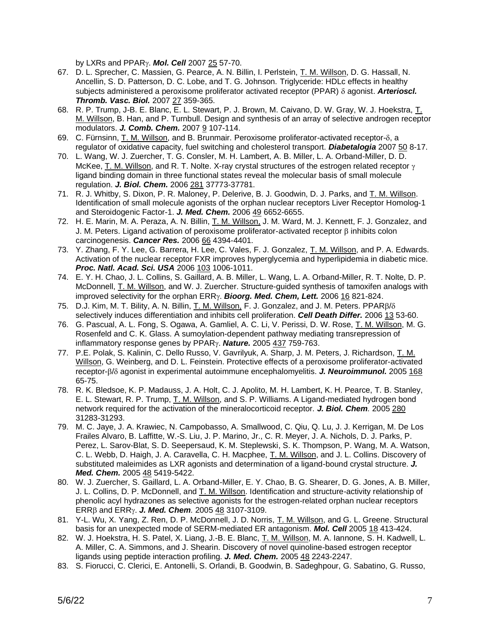by LXRs and PPAR<sub>Y</sub>. **Mol. Cell** 2007 25 57-70.

- 67. D. L. Sprecher, C. Massien, G. Pearce, A. N. Billin, I. Perlstein, T. M. Willson, D. G. Hassall, N. Ancellin, S. D. Patterson, D. C. Lobe, and T. G. Johnson. Triglyceride: HDLc effects in healthy subjects administered a peroxisome proliferator activated receptor (PPAR)  $\delta$  agonist. **Arterioscl.** *Thromb. Vasc. Biol.* 2007 27 359-365.
- 68. R. P. Trump, J-B. E. Blanc, E. L. Stewart, P. J. Brown, M. Caivano, D. W. Gray, W. J. Hoekstra, T. M. Willson, B. Han, and P. Turnbull. Design and synthesis of an array of selective androgen receptor modulators. *J. Comb. Chem.* 2007 9 107-114.
- 69. C. Fürnsinn, T. M. Willson, and B. Brunmair. Peroxisome proliferator-activated receptor- $\delta$ , a regulator of oxidative capacity, fuel switching and cholesterol transport. *Diabetalogia* 2007 50 8-17.
- 70. L. Wang, W. J. Zuercher, T. G. Consler, M. H. Lambert, A. B. Miller, L. A. Orband-Miller, D. D. McKee, T. M. Willson, and R. T. Nolte. X-ray crystal structures of the estrogen related receptor  $\gamma$ ligand binding domain in three functional states reveal the molecular basis of small molecule regulation. *J. Biol. Chem.* 2006 281 37773-37781.
- 71. R. J. Whitby, S. Dixon, P. R. Maloney, P. Delerive, B. J. Goodwin, D. J. Parks, and T. M. Willson. Identification of small molecule agonists of the orphan nuclear receptors Liver Receptor Homolog-1 and Steroidogenic Factor-1. *J. Med. Chem.* 2006 49 6652-6655.
- 72. H. E. Marin, M. A. Peraza, A. N. Billin, T. M. Willson, J. M. Ward, M. J. Kennett, F. J. Gonzalez, and J. M. Peters. Ligand activation of peroxisome proliferator-activated receptor  $\beta$  inhibits colon carcinogenesis. *Cancer Res.* 2006 66 4394-4401.
- 73. Y. Zhang, F. Y. Lee, G. Barrera, H. Lee, C. Vales, F. J. Gonzalez, T. M. Willson, and P. A. Edwards. Activation of the nuclear receptor FXR improves hyperglycemia and hyperlipidemia in diabetic mice. *Proc. Natl. Acad. Sci. USA* 2006 103 1006-1011.
- 74. E. Y. H. Chao, J. L. Collins, S. Gaillard, A. B. Miller, L. Wang, L. A. Orband-Miller, R. T. Nolte, D. P. McDonnell, T. M. Willson, and W. J. Zuercher. Structure-guided synthesis of tamoxifen analogs with improved selectivity for the orphan ERRy. **Bioorg. Med. Chem, Lett.** 2006 16 821-824.
- 75. D.J. Kim, M. T. Bility, A. N. Billin, T. M. Willson, F. J. Gonzalez, and J. M. Peters. PPAR/ selectively induces differentiation and inhibits cell proliferation. *Cell Death Differ.* 2006 13 53-60.
- 76. G. Pascual, A. L. Fong, S. Ogawa, A. Gamliel, A. C. Li, V. Perissi, D. W. Rose, T. M. Willson, M. G. Rosenfeld and C. K. Glass. A sumoylation-dependent pathway mediating transrepression of inflammatory response genes by PPAR<sub>Y</sub>. Nature. 2005 437 759-763.
- 77. P.E. Polak, S. Kalinin, C. Dello Russo, V. Gavrilyuk, A. Sharp, J. M. Peters, J. Richardson, T. M. Willson, G. Weinberg, and D. L. Feinstein. Protective effects of a peroxisome proliferator-activated receptor- $\beta/\delta$  agonist in experimental autoimmune encephalomyelitis. *J. Neuroimmunol.* 2005 168 65-75.
- 78. R. K. Bledsoe, K. P. Madauss, J. A. Holt, C. J. Apolito, M. H. Lambert, K. H. Pearce, T. B. Stanley, E. L. Stewart, R. P. Trump, T. M. Willson, and S. P. Williams. A Ligand-mediated hydrogen bond network required for the activation of the mineralocorticoid receptor. *J. Biol. Chem.* 2005 280 31283-31293.
- 79. M. C. Jaye, J. A. Krawiec, N. Campobasso, A. Smallwood, C. Qiu, Q. Lu, J. J. Kerrigan, M. De Los Frailes Alvaro, B. Laffitte, W.-S. Liu, J. P. Marino, Jr., C. R. Meyer, J. A. Nichols, D. J. Parks, P. Perez, L. Sarov-Blat, S. D. Seepersaud, K. M. Steplewski, S. K. Thompson, P. Wang, M. A. Watson, C. L. Webb, D. Haigh, J. A. Caravella, C. H. Macphee, T. M. Willson, and J. L. Collins. Discovery of substituted maleimides as LXR agonists and determination of a ligand-bound crystal structure. *J. Med. Chem.* 2005 48 5419-5422.
- 80. W. J. Zuercher, S. Gaillard, L. A. Orband-Miller, E. Y. Chao, B. G. Shearer, D. G. Jones, A. B. Miller, J. L. Collins, D. P. McDonnell, and T. M. Willson. Identification and structure-activity relationship of phenolic acyl hydrazones as selective agonists for the estrogen-related orphan nuclear receptors ERR and ERR. *J. Med. Chem.* 2005 48 3107-3109.
- 81. Y-L. Wu, X. Yang, Z. Ren, D. P. McDonnell, J. D. Norris, T. M. Willson, and G. L. Greene. Structural basis for an unexpected mode of SERM-mediated ER antagonism. *Mol. Cell* 2005 18 413-424.
- 82. W. J. Hoekstra, H. S. Patel, X. Liang, J.-B. E. Blanc, T. M. Willson, M. A. Iannone, S. H. Kadwell, L. A. Miller, C. A. Simmons, and J. Shearin. Discovery of novel quinoline-based estrogen receptor ligands using peptide interaction profiling. *J. Med. Chem.* 2005 48 2243-2247.
- 83. S. Fiorucci, C. Clerici, E. Antonelli, S. Orlandi, B. Goodwin, B. Sadeghpour, G. Sabatino, G. Russo,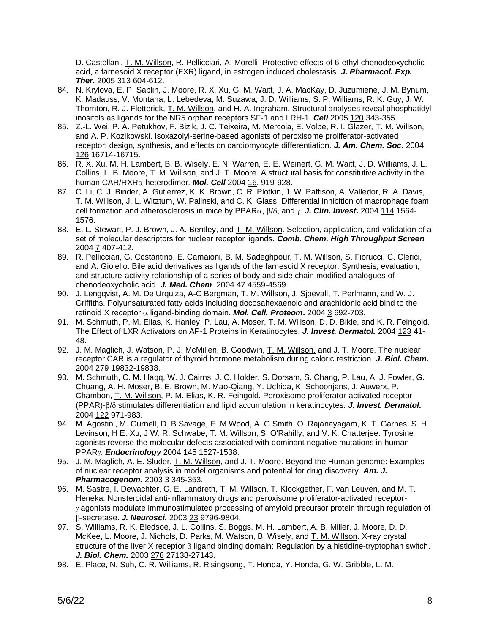D. Castellani, T. M. Willson, R. Pellicciari, A. Morelli. Protective effects of 6-ethyl chenodeoxycholic acid, a farnesoid X receptor (FXR) ligand, in estrogen induced cholestasis. *J. Pharmacol. Exp. Ther.* 2005 313 604-612.

- 84. N. Krylova, E. P. Sablin, J. Moore, R. X. Xu, G. M. Waitt, J. A. MacKay, D. Juzumiene, J. M. Bynum, K. Madauss, V. Montana, L. Lebedeva, M. Suzawa, J. D. Williams, S. P. Williams, R. K. Guy, J. W. Thornton, R. J. Fletterick, T. M. Willson, and H. A. Ingraham. Structural analyses reveal phosphatidyl inositols as ligands for the NR5 orphan receptors SF-1 and LRH-1. *Cell* 2005 120 343-355.
- 85. Z.-L. Wei, P. A. Petukhov, F. Bizik, J. C. Teixeira, M. Mercola, E. Volpe, R. I. Glazer, T. M. Willson, and A. P. Kozikowski. Isoxazolyl-serine-based agonists of peroxisome proliferator-activated receptor: design, synthesis, and effects on cardiomyocyte differentiation. *J. Am. Chem. Soc***.** 2004 126 16714-16715.
- 86. R. X. Xu, M. H. Lambert, B. B. Wisely, E. N. Warren, E. E. Weinert, G. M. Waitt, J. D. Williams, J. L. Collins, L. B. Moore, T. M. Willson, and J. T. Moore. A structural basis for constitutive activity in the human CAR/RXRα heterodimer. **Mol. Cell** 2004 16, 919-928.
- 87. C. Li, C. J. Binder, A. Gutierrez, K. K. Brown, C. R. Plotkin, J. W. Pattison, A. Valledor, R. A. Davis, T. M. Willson, J. L. Witztum, W. Palinski, and C. K. Glass. Differential inhibition of macrophage foam cell formation and atherosclerosis in mice by PPAR $\alpha$ ,  $\beta/\delta$ , and  $\gamma$ . **J. Clin. Invest.** 2004 114 1564-1576.
- 88. E. L. Stewart, P. J. Brown, J. A. Bentley, and T. M. Willson. Selection, application, and validation of a set of molecular descriptors for nuclear receptor ligands. *Comb. Chem. High Throughput Screen* 2004 7 407-412.
- 89. R. Pellicciari, G. Costantino, E. Camaioni, B. M. Sadeghpour, T. M. Willson, S. Fiorucci, C. Clerici, and A. Gioiello. Bile acid derivatives as ligands of the farnesoid X receptor. Synthesis, evaluation, and structure-activity relationship of a series of body and side chain modified analogues of chenodeoxycholic acid. *J. Med. Chem.* 2004 47 4559-4569.
- 90. J. Lengqvist, A. M. De Urquiza, A-C Bergman, T. M. Willson, J. Sjoevall, T. Perlmann, and W. J. Griffiths. Polyunsaturated fatty acids including docosahexaenoic and arachidonic acid bind to the retinoid X receptor  $\alpha$  ligand-binding domain. *Mol. Cell. Proteom.* 2004 3 692-703.
- 91. M. Schmuth, P. M. Elias, K. Hanley, P. Lau, A. Moser, T. M. Willson, D. D. Bikle, and K. R. Feingold. The Effect of LXR Activators on AP-1 Proteins in Keratinocytes. *J. Invest. Dermatol.* 2004 123 41- 48.
- 92. J. M. Maglich, J. Watson, P. J. McMillen, B. Goodwin, T. M. Willson, and J. T. Moore. The nuclear receptor CAR is a regulator of thyroid hormone metabolism during caloric restriction. *J. Biol. Chem.* 2004 279 19832-19838.
- 93. M. Schmuth, C. M. Haqq, W. J. Cairns, J. C. Holder, S. Dorsam, S. Chang, P. Lau, A. J. Fowler, G. Chuang, A. H. Moser, B. E. Brown, M. Mao-Qiang, Y. Uchida, K. Schoonjans, J. Auwerx, P. Chambon, T. M. Willson, P. M. Elias, K. R. Feingold. Peroxisome proliferator-activated receptor (PPAR)- $\beta$ / $\delta$  stimulates differentiation and lipid accumulation in keratinocytes. *J. Invest. Dermatol.* 2004 122 971-983.
- 94. M. Agostini, M. Gurnell, D. B Savage, E. M Wood, A. G Smith, O. Rajanayagam, K. T. Garnes, S. H Levinson, H E. Xu, J W. R. Schwabe, T. M. Willson, S. O'Rahilly, and V. K. Chatterjee. Tyrosine agonists reverse the molecular defects associated with dominant negative mutations in human PPAR. *Endocrinology* 2004 145 1527-1538.
- 95. J. M. Maglich, A. E. Sluder, T. M. Willson, and J. T. Moore. Beyond the Human genome: Examples of nuclear receptor analysis in model organisms and potential for drug discovery. *Am. J. Pharmacogenom.* 2003 3 345-353.
- 96. M. Sastre, I. Dewachter, G. E. Landreth, T. M. Willson, T. Klockgether, F. van Leuven, and M. T. Heneka. Nonsteroidal anti-inflammatory drugs and peroxisome proliferator-activated receptor-  $\gamma$  agonists modulate immunostimulated processing of amyloid precursor protein through regulation of -secretase. *J. Neurosci.* 2003 23 9796-9804.
- 97. S. Williams, R. K. Bledsoe, J. L. Collins, S. Boggs, M. H. Lambert, A. B. Miller, J. Moore, D. D. McKee, L. Moore, J. Nichols, D. Parks, M. Watson, B. Wisely, and T. M. Willson. X-ray crystal structure of the liver X receptor  $\beta$  ligand binding domain: Regulation by a histidine-tryptophan switch. *J. Biol. Chem.* 2003 278 27138-27143.
- 98. E. Place, N. Suh, C. R. Williams, R. Risingsong, T. Honda, Y. Honda, G. W. Gribble, L. M.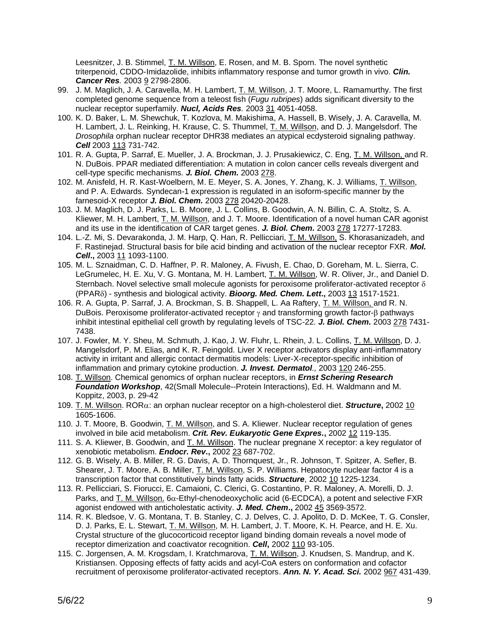Leesnitzer, J. B. Stimmel, T. M. Willson, E. Rosen, and M. B. Sporn. The novel synthetic triterpenoid, CDDO-Imidazolide, inhibits inflammatory response and tumor growth in vivo. *Clin. Cancer Res.* 2003 9 2798-2806.

- 99. J. M. Maglich, J. A. Caravella, M. H. Lambert, T. M. Willson, J. T. Moore, L. Ramamurthy. The first completed genome sequence from a teleost fish (*Fugu rubripes*) adds significant diversity to the nuclear receptor superfamily. *Nucl, Acids Res.* 2003 31 4051-4058.
- 100. K. D. Baker, L. M. Shewchuk, T. Kozlova, M. Makishima, A. Hassell, B. Wisely, J. A. Caravella, M. H. Lambert, J. L. Reinking, H. Krause, C. S. Thummel, T. M. Willson, and D. J. Mangelsdorf. The *Drosophila* orphan nuclear receptor DHR38 mediates an atypical ecdysteroid signaling pathway. *Cell* 2003 113 731-742.
- 101. R. A. Gupta, P. Sarraf, E. Mueller, J. A. Brockman, J. J. Prusakiewicz, C. Eng, T. M. Willson, and R. N. DuBois. PPAR mediated differentiation: A mutation in colon cancer cells reveals divergent and cell-type specific mechanisms. *J. Biol. Chem.* 2003 278.
- 102. M. Anisfeld, H. R. Kast-Woelbern, M. E. Meyer, S. A. Jones, Y. Zhang, K. J. Williams, T. Willson, and P. A. Edwards. Syndecan-1 expression is regulated in an isoform-specific manner by the farnesoid-X receptor *J. Biol. Chem.* 2003 278 20420-20428.
- 103. J. M. Maglich, D. J. Parks, L. B. Moore, J. L. Collins, B. Goodwin, A. N. Billin, C. A. Stoltz, S. A. Kliewer, M. H. Lambert, T. M. Willson, and J. T. Moore. Identification of a novel human CAR agonist and its use in the identification of CAR target genes. *J. Biol. Chem.* 2003 278 17277-17283.
- 104. L.-Z. Mi, S. Devarakonda, J. M. Harp, Q. Han, R. Pellicciari, T. M. Willson, S. Khorasanizadeh, and F. Rastinejad. Structural basis for bile acid binding and activation of the nuclear receptor FXR. *Mol. Cell***.,** 2003 11 1093-1100.
- 105. M. L. Sznaidman, C. D. Haffner, P. R. Maloney, A. Fivush, E. Chao, D. Goreham, M. L. Sierra, C. LeGrumelec, H. E. Xu, V. G. Montana, M. H. Lambert, T. M. Willson, W. R. Oliver, Jr., and Daniel D. Sternbach. Novel selective small molecule agonists for peroxisome proliferator-activated receptor  $\delta$ (PPAR) - synthesis and biological activity. *Bioorg. Med. Chem. Lett***.,** 2003 13 1517-1521.
- 106. R. A. Gupta, P. Sarraf, J. A. Brockman, S. B. Shappell, L. Aa Raftery, T. M. Willson, and R. N. DuBois. Peroxisome proliferator-activated receptor  $\gamma$  and transforming growth factor- $\beta$  pathways inhibit intestinal epithelial cell growth by regulating levels of TSC-22. *J. Biol. Chem.* 2003 278 7431- 7438.
- 107. J. Fowler, M. Y. Sheu, M. Schmuth, J. Kao, J. W. Fluhr, L. Rhein, J. L. Collins, T. M. Willson, D. J. Mangelsdorf, P. M. Elias, and K. R. Feingold. Liver X receptor activators display anti-inflammatory activity in irritant and allergic contact dermatitis models: Liver-X-receptor-specific inhibition of inflammation and primary cytokine production. *J. Invest. Dermatol.,* 2003 120 246-255.
- 108. T. Willson. Chemical genomics of orphan nuclear receptors, in *Ernst Schering Research Foundation Workshop*, 42(Small Molecule--Protein Interactions), Ed. H. Waldmann and M. Koppitz, 2003, p. 29-42
- 109. T. M. Willson. ROR: an orphan nuclear receptor on a high-cholesterol diet. *Structure***,** 2002 10 1605-1606.
- 110. J. T. Moore, B. Goodwin, T. M. Willson, and S. A. Kliewer. Nuclear receptor regulation of genes involved in bile acid metabolism. *Crit. Rev. Eukaryotic Gene Expres.***,** 2002 12 119-135.
- 111. S. A. Kliewer, B. Goodwin, and T. M. Willson. The nuclear pregnane X receptor: a key regulator of xenobiotic metabolism. *Endocr. Rev***.,** 2002 23 687-702.
- 112. G. B. Wisely, A. B. Miller, R. G. Davis, A. D. Thornquest, Jr., R. Johnson, T. Spitzer, A. Sefler, B. Shearer, J. T. Moore, A. B. Miller, T. M. Willson, S. P. Williams. Hepatocyte nuclear factor 4 is a transcription factor that constitutively binds fatty acids. *Structure*, 2002 10 1225-1234.
- 113. R. Pellicciari, S. Fiorucci, E. Camaioni, C. Clerici, G. Costantino, P. R. Maloney, A. Morelli, D. J. Parks, and T. M. Willson.  $6\alpha$ -Ethyl-chenodeoxycholic acid (6-ECDCA), a potent and selective FXR agonist endowed with anticholestatic activity. *J. Med. Chem***.,** 2002 45 3569-3572.
- 114. R. K. Bledsoe, V. G. Montana, T. B. Stanley, C. J. Delves, C. J. Apolito, D. D. McKee, T. G. Consler, D. J. Parks, E. L. Stewart, T. M. Willson, M. H. Lambert, J. T. Moore, K. H. Pearce, and H. E. Xu. Crystal structure of the glucocorticoid receptor ligand binding domain reveals a novel mode of receptor dimerization and coactivator recognition. *Cell***,** 2002 110 93-105.
- 115. C. Jorgensen, A. M. Krogsdam, I. Kratchmarova, T. M. Willson, J. Knudsen, S. Mandrup, and K. Kristiansen. Opposing effects of fatty acids and acyl-CoA esters on conformation and cofactor recruitment of peroxisome proliferator-activated receptors. *Ann. N. Y. Acad. Sci.* 2002 967 431-439.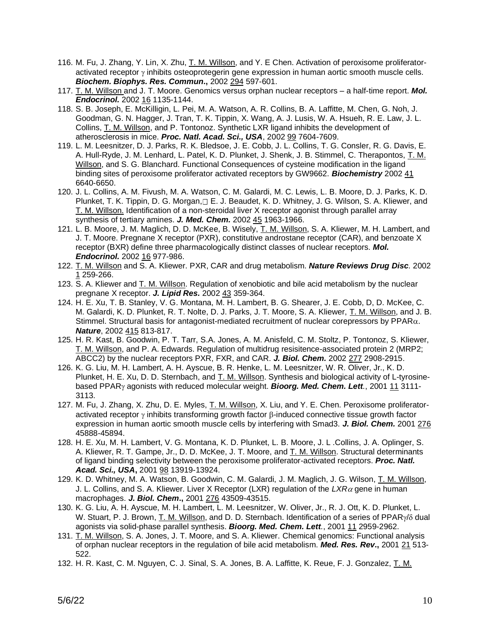- 116. M. Fu, J. Zhang, Y. Lin, X. Zhu, T. M. Willson, and Y. E Chen. Activation of peroxisome proliferatoractivated receptor  $\gamma$  inhibits osteoprotegerin gene expression in human aortic smooth muscle cells. *Biochem. Biophys. Res. Commun***.,** 2002 294 597-601.
- 117. T. M. Willson and J. T. Moore. Genomics versus orphan nuclear receptors a half-time report. *Mol. Endocrinol.* 2002 16 1135-1144.
- 118. S. B. Joseph, E. McKilligin, L. Pei, M. A. Watson, A. R. Collins, B. A. Laffitte, M. Chen, G. Noh, J. Goodman, G. N. Hagger, J. Tran, T. K. Tippin, X. Wang, A. J. Lusis, W. A. Hsueh, R. E. Law, J. L. Collins, T. M. Willson, and P. Tontonoz. Synthetic LXR ligand inhibits the development of atherosclerosis in mice. *Proc. Natl. Acad. Sci., USA*, 2002 99 7604-7609.
- 119. L. M. Leesnitzer, D. J. Parks, R. K. Bledsoe, J. E. Cobb, J. L. Collins, T. G. Consler, R. G. Davis, E. A. Hull-Ryde, J. M. Lenhard, L. Patel, K. D. Plunket, J. Shenk, J. B. Stimmel, C. Therapontos, T. M. Willson, and S. G. Blanchard. Functional Consequences of cysteine modification in the ligand binding sites of peroxisome proliferator activated receptors by GW9662. *Biochemistry* 2002 41 6640-6650.
- 120. J. L. Collins, A. M. Fivush, M. A. Watson, C. M. Galardi, M. C. Lewis, L. B. Moore, D. J. Parks, K. D. Plunket, T. K. Tippin, D. G. Morgan,□ E. J. Beaudet, K. D. Whitney, J. G. Wilson, S. A. Kliewer, and T. M. Willson. Identification of a non-steroidal liver X receptor agonist through parallel array synthesis of tertiary amines. *J. Med. Chem.* 2002 45 1963-1966.
- 121. L. B. Moore, J. M. Maglich, D. D. McKee, B. Wisely, T. M. Willson, S. A. Kliewer, M. H. Lambert, and J. T. Moore. Pregnane X receptor (PXR), constitutive androstane receptor (CAR), and benzoate X receptor (BXR) define three pharmacologically distinct classes of nuclear receptors. *Mol. Endocrinol.* 2002 16 977-986.
- 122. T. M. Willson and S. A. Kliewer. PXR, CAR and drug metabolism. *Nature Reviews Drug Disc.* 2002 1 259-266.
- 123. S. A. Kliewer and T. M. Willson. Regulation of xenobiotic and bile acid metabolism by the nuclear pregnane X receptor. *J. Lipid Res.* 2002 43 359-364.
- 124. H. E. Xu, T. B. Stanley, V. G. Montana, M. H. Lambert, B. G. Shearer, J. E. Cobb, D, D. McKee, C. M. Galardi, K. D. Plunket, R. T. Nolte, D. J. Parks, J. T. Moore, S. A. Kliewer, T. M. Willson, and J. B. Stimmel. Structural basis for antagonist-mediated recruitment of nuclear corepressors by  $PPAR<sub>\alpha</sub>$ . *Nature*, 2002 415 813-817.
- 125. H. R. Kast, B. Goodwin, P. T. Tarr, S.A. Jones, A. M. Anisfeld, C. M. Stoltz, P. Tontonoz, S. Kliewer, T. M. Willson, and P. A. Edwards. Regulation of multidrug resisitence-associated protein 2 (MRP2; ABCC2) by the nuclear receptors PXR, FXR, and CAR. *J. Biol. Chem.* 2002 277 2908-2915.
- 126. K. G. Liu, M. H. Lambert, A. H. Ayscue, B. R. Henke, L. M. Leesnitzer, W. R. Oliver, Jr., K. D. Plunket, H. E. Xu, D. D. Sternbach, and T. M. Willson. Synthesis and biological activity of L-tyrosinebased PPAR<sub>Y</sub> agonists with reduced molecular weight. **Bioorg. Med. Chem. Lett**., 2001 11 3111-3113.
- 127. M. Fu, J. Zhang, X. Zhu, D. E. Myles, T. M. Willson, X. Liu, and Y. E. Chen. Peroxisome proliferatoractivated receptor  $\gamma$  inhibits transforming growth factor  $\beta$ -induced connective tissue growth factor expression in human aortic smooth muscle cells by interfering with Smad3. *J. Biol. Chem.* 2001 276 45888-45894.
- 128. H. E. Xu, M. H. Lambert, V. G. Montana, K. D. Plunket, L. B. Moore, J. L .Collins, J. A. Oplinger, S. A. Kliewer, R. T. Gampe, Jr., D. D. McKee, J. T. Moore, and T. M. Willson. Structural determinants of ligand binding selectivity between the peroxisome proliferator-activated receptors. *Proc. Natl. Acad. Sci., USA***,** 2001 98 13919-13924.
- 129. K. D. Whitney, M. A. Watson, B. Goodwin, C. M. Galardi, J. M. Maglich, J. G. Wilson, T. M. Willson, J. L. Collins, and S. A. Kliewer. Liver X Receptor (LXR) regulation of the  $LXR\alpha$  gene in human macrophages. *J. Biol. Chem***.,** 2001 276 43509-43515.
- 130. K. G. Liu, A. H. Ayscue, M. H. Lambert, L. M. Leesnitzer, W. Oliver, Jr., R. J. Ott, K. D. Plunket, L. W. Stuart, P. J. Brown, T. M. Willson, and D. D. Sternbach. Identification of a series of PPAR $\gamma$ / $\delta$  dual agonists via solid-phase parallel synthesis. *Bioorg. Med. Chem. Lett.*, 2001 11 2959-2962.
- 131. T. M. Willson, S. A. Jones, J. T. Moore, and S. A. Kliewer. Chemical genomics: Functional analysis of orphan nuclear receptors in the regulation of bile acid metabolism. *Med. Res. Rev***.,** 2001 21 513- 522.
- 132. H. R. Kast, C. M. Nguyen, C. J. Sinal, S. A. Jones, B. A. Laffitte, K. Reue, F. J. Gonzalez, T. M.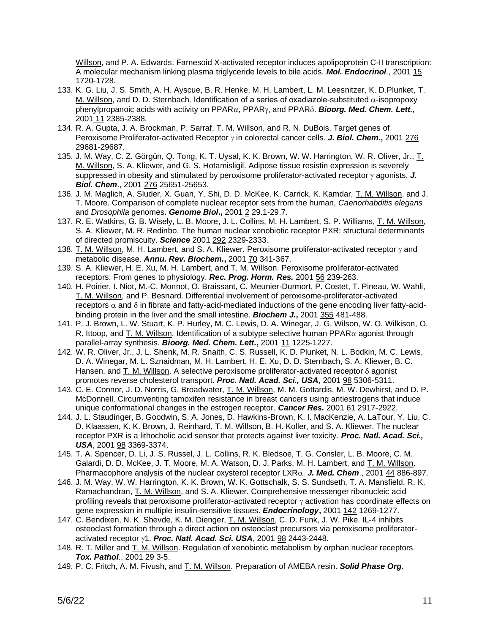Willson, and P. A. Edwards. Farnesoid X-activated receptor induces apolipoprotein C-II transcription: A molecular mechanism linking plasma triglyceride levels to bile acids. *Mol. Endocrinol.*, 2001 15 1720-1728.

- 133. K. G. Liu, J. S. Smith, A. H. Ayscue, B. R. Henke, M. H. Lambert, L. M. Leesnitzer, K. D.Plunket, T. M. Willson, and D. D. Sternbach. Identification of a series of oxadiazole-substituted  $\alpha$ -isopropoxy phenylpropanoic acids with activity on  $PPAR<sub>\alpha</sub>$ ,  $PPAR<sub>\gamma</sub>$ , and  $PPAR<sub>\delta</sub>$ . *Bioorg. Med. Chem. Lett.*, 2001 11 2385-2388.
- 134. R. A. Gupta, J. A. Brockman, P. Sarraf, T. M. Willson, and R. N. DuBois. Target genes of Peroxisome Proliferator-activated Receptor  $\gamma$  in colorectal cancer cells. **J. Biol. Chem.**, 2001 276 29681-29687.
- 135. J. M. Way, C. Z. Görgün, Q. Tong, K. T. Uysal, K. K. Brown, W. W. Harrington, W. R. Oliver, Jr., T. M. Willson, S. A. Kliewer, and G. S. Hotamisligil. Adipose tissue resistin expression is severely suppressed in obesity and stimulated by peroxisome proliferator-activated receptor  $\gamma$  agonists. *J. Biol. Chem*., 2001 276 25651-25653.
- 136. J. M. Maglich, A. Sluder, X. Guan, Y. Shi, D. D. McKee, K. Carrick, K. Kamdar, T. M. Willson, and J. T. Moore. Comparison of complete nuclear receptor sets from the human, *Caenorhabditis elegans* and *Drosophila* genomes. *Genome Biol***.,** 2001 2 29.1-29.7.
- 137. R. E. Watkins, G. B. Wisely, L. B. Moore, J. L. Collins, M. H. Lambert, S. P. Williams, T. M. Willson, S. A. Kliewer, M. R. Redinbo. The human nuclear xenobiotic receptor PXR: structural determinants of directed promiscuity. *Science* 2001 292 2329-2333.
- 138. T. M. Willson, M. H. Lambert, and S. A. Kliewer. Peroxisome proliferator-activated receptor  $\gamma$  and metabolic disease. *Annu. Rev. Biochem.***,** 2001 70 341-367.
- 139. S. A. Kliewer, H. E. Xu, M. H. Lambert, and T. M. Willson. Peroxisome proliferator-activated receptors: From genes to physiology. *Rec. Prog. Horm. Res.* 2001 56 239-263.
- 140. H. Poirier, I. Niot, M.-C. Monnot, O. Braissant, C. Meunier-Durmort, P. Costet, T. Pineau, W. Wahli, T. M. Willson, and P. Besnard. Differential involvement of peroxisome-proliferator-activated receptors  $\alpha$  and  $\delta$  in fibrate and fatty-acid-mediated inductions of the gene encoding liver fatty-acidbinding protein in the liver and the small intestine. *Biochem J.***,** 2001 355 481-488.
- 141. P. J. Brown, L. W. Stuart, K. P. Hurley, M. C. Lewis, D. A. Winegar, J. G. Wilson, W. O. Wilkison, O. R. Ittoop, and T. M. Willson. Identification of a subtype selective human  $PPAR\alpha$  agonist through parallel-array synthesis. *Bioorg. Med. Chem. Lett.***,** 2001 11 1225-1227.
- 142. W. R. Oliver, Jr., J. L. Shenk, M. R. Snaith, C. S. Russell, K. D. Plunket, N. L. Bodkin, M. C. Lewis, D. A. Winegar, M. L. Sznaidman, M. H. Lambert, H. E. Xu, D. D. Sternbach, S. A. Kliewer, B. C. Hansen, and T. M. Willson. A selective peroxisome proliferator-activated receptor  $\delta$  agonist promotes reverse cholesterol transport. *Proc. Natl. Acad. Sci., USA***,** 2001 98 5306-5311.
- 143. C. E. Connor, J. D. Norris, G. Broadwater, T. M. Willson, M. M. Gottardis, M. W. Dewhirst, and D. P. McDonnell. Circumventing tamoxifen resistance in breast cancers using antiestrogens that induce unique conformational changes in the estrogen receptor. *Cancer Res.* 2001 61 2917-2922.
- 144. J. L. Staudinger, B. Goodwin, S. A. Jones, D. Hawkins-Brown, K. I. MacKenzie, A. LaTour, Y. Liu, C. D. Klaassen, K. K. Brown, J. Reinhard, T. M. Willson, B. H. Koller, and S. A. Kliewer. The nuclear receptor PXR is a lithocholic acid sensor that protects against liver toxicity. *Proc. Natl. Acad. Sci., USA*, 2001 98 3369-3374.
- 145. T. A. Spencer, D. Li, J. S. Russel, J. L. Collins, R. K. Bledsoe, T. G. Consler, L. B. Moore, C. M. Galardi, D. D. McKee, J. T. Moore, M. A. Watson, D. J. Parks, M. H. Lambert, and T. M. Willson. Pharmacophore analysis of the nuclear oxysterol receptor  $LXR_{\alpha}$ . *J. Med. Chem.*, 2001 44 886-897.
- 146. J. M. Way, W. W. Harrington, K. K. Brown, W. K. Gottschalk, S. S. Sundseth, T. A. Mansfield, R. K. Ramachandran, T. M. Willson, and S. A. Kliewer. Comprehensive messenger ribonucleic acid profiling reveals that peroxisome proliferator-activated receptor  $\gamma$  activation has coordinate effects on gene expression in multiple insulin-sensitive tissues. *Endocrinology***,** 2001 142 1269-1277.
- 147. C. Bendixen, N. K. Shevde, K. M. Dienger, T. M. Willson, C. D. Funk, J. W. Pike. IL-4 inhibits osteoclast formation through a direct action on osteoclast precursors via peroxisome proliferatoractivated receptor  $\gamma$ 1. **Proc. Natl. Acad. Sci. USA**, 2001 98 2443-2448.
- 148. R. T. Miller and T. M. Willson. Regulation of xenobiotic metabolism by orphan nuclear receptors. *Tox. Pathol.*, 2001 29 3-5.
- 149. P. C. Fritch, A. M. Fivush, and T. M. Willson. Preparation of AMEBA resin. *Solid Phase Org.*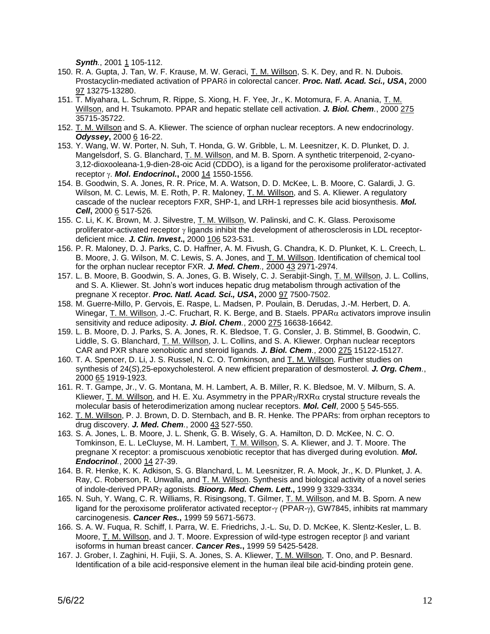*Synth.*, 2001 1 105-112.

- 150. R. A. Gupta, J. Tan, W. F. Krause, M. W. Geraci, T. M. Willson, S. K. Dey, and R. N. Dubois. Prostacyclin-mediated activation of PPAR in colorectal cancer. *Proc. Natl. Acad. Sci., USA***,** 2000 97 13275-13280.
- 151. T. Miyahara, L. Schrum, R. Rippe, S. Xiong, H. F. Yee, Jr., K. Motomura, F. A. Anania, T. M. Willson, and H. Tsukamoto. PPAR and hepatic stellate cell activation. *J. Biol. Chem.*, 2000 275 35715-35722.
- 152. T. M. Willson and S. A. Kliewer. The science of orphan nuclear receptors. A new endocrinology. *Odyssey***,** 2000 6 16-22.
- 153. Y. Wang, W. W. Porter, N. Suh, T. Honda, G. W. Gribble, L. M. Leesnitzer, K. D. Plunket, D. J. Mangelsdorf, S. G. Blanchard, T. M. Willson, and M. B. Sporn. A synthetic triterpenoid, 2-cyano-3,12-dioxooleana-1,9-dien-28-oic Acid (CDDO), is a ligand for the peroxisome proliferator-activated receptor . *Mol. Endocrinol.***,** 2000 14 1550-1556.
- 154. B. Goodwin, S. A. Jones, R. R. Price, M. A. Watson, D. D. McKee, L. B. Moore, C. Galardi, J. G. Wilson, M. C. Lewis, M. E. Roth, P. R. Maloney, T. M. Willson, and S. A. Kliewer. A regulatory cascade of the nuclear receptors FXR, SHP-1, and LRH-1 represses bile acid biosynthesis. *Mol. Cell***,** 2000 6 517-526*.*
- 155. C. Li, K. K. Brown, M. J. Silvestre, T. M. Willson, W. Palinski, and C. K. Glass. Peroxisome proliferator-activated receptor  $\gamma$  ligands inhibit the development of atherosclerosis in LDL receptordeficient mice. *J. Clin. Invest***.,** 2000 106 523-531.
- 156. P. R. Maloney, D. J. Parks, C. D. Haffner, A. M. Fivush, G. Chandra, K. D. Plunket, K. L. Creech, L. B. Moore, J. G. Wilson, M. C. Lewis, S. A. Jones, and T. M. Willson. Identification of chemical tool for the orphan nuclear receptor FXR. *J. Med. Chem.,* 2000 43 2971-2974.
- 157. L. B. Moore, B. Goodwin, S. A. Jones, G. B. Wisely, C. J. Serabjit-Singh, T. M. Willson, J. L. Collins, and S. A. Kliewer. St. John's wort induces hepatic drug metabolism through activation of the pregnane X receptor. *Proc. Natl. Acad. Sci., USA***,** 2000 97 7500-7502.
- 158. M. Guerre-Millo, P. Gervois, E. Raspe, L. Madsen, P. Poulain, B. Derudas, J.-M. Herbert, D. A. Winegar, T. M. Willson, J.-C. Fruchart, R. K. Berge, and B. Staels. PPAR $\alpha$  activators improve insulin sensitivity and reduce adiposity. *J. Biol. Chem.*, 2000 275 16638-16642.
- 159. L. B. Moore, D. J. Parks, S. A. Jones, R. K. Bledsoe, T. G. Consler, J. B. Stimmel, B. Goodwin, C. Liddle, S. G. Blanchard, T. M. Willson, J. L. Collins, and S. A. Kliewer. Orphan nuclear receptors CAR and PXR share xenobiotic and steroid ligands. *J. Biol. Chem.*, 2000 275 15122-15127.
- 160. T. A. Spencer, D. Li, J. S. Russel, N. C. O. Tomkinson, and T. M. Willson. Further studies on synthesis of 24(*S*),25-epoxycholesterol. A new efficient preparation of desmosterol. *J. Org. Chem.*, 2000 65 1919-1923.
- 161. R. T. Gampe, Jr., V. G. Montana, M. H. Lambert, A. B. Miller, R. K. Bledsoe, M. V. Milburn, S. A. Kliewer, T. M. Willson, and H. E. Xu. Asymmetry in the PPAR $\gamma$ /RXR $\alpha$  crystal structure reveals the molecular basis of heterodimerization among nuclear receptors. *Mol. Cell*, 2000 5 545-555.
- 162. T. M. Willson, P. J. Brown, D. D. Sternbach, and B. R. Henke. The PPARs: from orphan receptors to drug discovery. *J. Med. Chem.*, 2000 43 527-550.
- 163. S. A. Jones, L. B. Moore, J. L. Shenk, G. B. Wisely, G. A. Hamilton, D. D. McKee, N. C. O. Tomkinson, E. L. LeCluyse, M. H. Lambert, T. M. Willson, S. A. Kliewer, and J. T. Moore. The pregnane X receptor: a promiscuous xenobiotic receptor that has diverged during evolution. *Mol. Endocrinol.*, 2000 14 27-39.
- 164. B. R. Henke, K. K. Adkison, S. G. Blanchard, L. M. Leesnitzer, R. A. Mook, Jr., K. D. Plunket, J. A. Ray, C. Roberson, R. Unwalla, and T. M. Willson. Synthesis and biological activity of a novel series of indole-derived PPAR<sub>Y</sub> agonists. **Bioorg. Med. Chem. Lett.**, 1999 9 3329-3334.
- 165. N. Suh, Y. Wang, C. R. Williams, R. Risingsong, T. Gilmer, T. M. Willson, and M. B. Sporn. A new ligand for the peroxisome proliferator activated receptor- $\gamma$  (PPAR- $\gamma$ ), GW7845, inhibits rat mammary carcinogenesis. *Cancer Res.***,** 1999 59 5671-5673.
- 166. S. A. W. Fuqua, R. Schiff, I. Parra, W. E. Friedrichs, J.-L. Su, D. D. McKee, K. Slentz-Kesler, L. B. Moore, T. M. Willson, and J. T. Moore. Expression of wild-type estrogen receptor  $\beta$  and variant isoforms in human breast cancer. *Cancer Res.***,** 1999 59 5425-5428.
- 167. J. Grober, I. Zaghini, H. Fujii, S. A. Jones, S. A. Kliewer, T. M. Willson, T. Ono, and P. Besnard. Identification of a bile acid-responsive element in the human ileal bile acid-binding protein gene.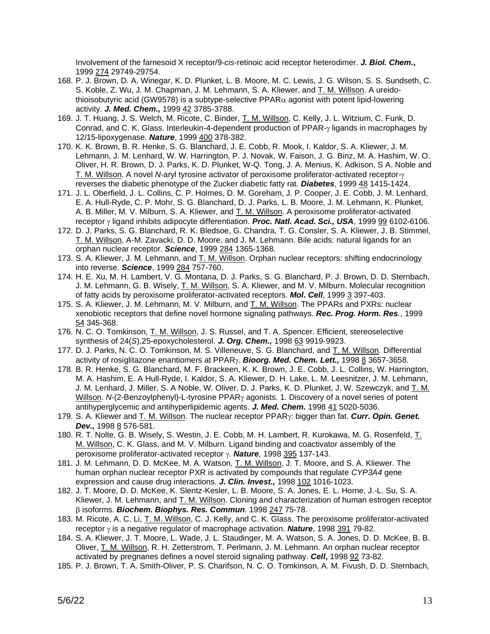Involvement of the farnesoid X receptor/9-*cis*-retinoic acid receptor heterodimer. *J. Biol. Chem.***,** 1999 274 29749-29754.

- 168. P. J. Brown, D. A. Winegar, K. D. Plunket, L. B. Moore, M. C. Lewis, J. G. Wilson, S. S. Sundseth, C. S. Koble, Z. Wu, J. M. Chapman, J. M. Lehmann, S. A. Kliewer, and T. M. Willson. A ureidothioisobutyric acid (GW9578) is a subtype-selective PPAR $\alpha$  agonist with potent lipid-lowering activity. *J. Med. Chem.,* 1999 42 3785-3788.
- 169. J. T. Huang, J. S. Welch, M. Ricote, C. Binder, T. M. Willson, C. Kelly, J. L. Witzium, C. Funk, D. Conrad, and C. K. Glass. Interleukin-4-dependent production of  $PPAR-\gamma$  ligands in macrophages by 12/15-lipoxygenase. *Nature*, 1999 400 378-382.
- 170. K. K. Brown, B. R. Henke, S. G. Blanchard, J. E. Cobb, R. Mook, I. Kaldor, S. A. Kliewer, J. M. Lehmann, J. M. Lenhard, W. W. Harrington, P. J. Novak, W. Faison, J. G. Binz, M. A. Hashim, W. O. Oliver, H. R. Brown, D. J. Parks, K. D. Plunket, W-Q. Tong, J. A. Menius, K. Adkison, S A. Noble and T. M. Willson. A novel *N*-aryl tyrosine activator of peroxisome proliferator-activated receptor reverses the diabetic phenotype of the Zucker diabetic fatty rat. *Diabetes*, 1999 48 1415-1424.
- 171. J. L. Oberfield, J. L. Collins, C. P. Holmes, D. M. Goreham, J. P. Cooper, J. E. Cobb, J. M. Lenhard, E. A. Hull-Ryde, C. P. Mohr, S. G. Blanchard, D. J. Parks, L. B. Moore, J. M. Lehmann, K. Plunket, A. B. Miller, M. V. Milburn, S. A. Kliewer, and T. M. Willson. A peroxisome proliferator-activated receptor y ligand inhibits adipocyte differentiation. **Proc. Natl. Acad. Sci., USA**, 1999 99 6102-6106.
- 172. D. J. Parks, S. G. Blanchard, R. K. Bledsoe, G. Chandra, T. G. Consler, S. A. Kliewer, J. B. Stimmel, T. M. Willson, A-M. Zavacki, D. D. Moore, and J. M. Lehmann. Bile acids: natural ligands for an orphan nuclear receptor. *Science*, 1999 284 1365-1368.
- 173. S. A. Kliewer, J. M. Lehmann, and T. M. Willson. Orphan nuclear receptors: shifting endocrinology into reverse. *Science*, 1999 284 757-760.
- 174. H. E. Xu, M. H. Lambert, V. G. Montana, D. J. Parks, S. G. Blanchard, P. J. Brown, D. D. Sternbach, J. M. Lehmann, G. B. Wisely, T. M. Willson, S. A. Kliewer, and M. V. Milburn. Molecular recognition of fatty acids by peroxisome proliferator-activated receptors. *Mol. Cell*, 1999 3 397-403.
- 175. S. A. Kliewer, J. M. Lehmann, M. V. Milburn, and T. M. Willson. The PPARs and PXRs: nuclear xenobiotic receptors that define novel hormone signaling pathways. *Rec. Prog. Horm. Res.*, 1999 54 345-368.
- 176. N. C. O. Tomkinson, T. M. Willson, J. S. Russel, and T. A. Spencer. Efficient, stereoselective synthesis of 24(*S*),25-epoxycholesterol. *J. Org. Chem.,* 1998 63 9919-9923.
- 177. D. J. Parks, N. C. O. Tomkinson, M. S. Villeneuve, S. G. Blanchard, and T. M. Willson. Differential activity of rosiglitazone enantiomers at PPAR<sub>Y</sub>. **Bioorg. Med. Chem. Lett.**, 1998 8 3657-3658.
- 178. B. R. Henke, S. G. Blanchard, M. F. Brackeen, K. K. Brown, J. E. Cobb, J. L. Collins, W. Harrington, M. A. Hashim, E. A Hull-Ryde, I. Kaldor, S. A. Kliewer, D. H. Lake, L. M. Leesnitzer, J. M. Lehmann, J. M. Lenhard, J. Miller, S. A Noble, W. Oliver, D. J. Parks, K. D. Plunket, J. W. Szewczyk, and T. M. Willson. *N*-(2-Benzoylphenyl)-L-tyrosine PPAR<sub>Y</sub> agonists. 1. Discovery of a novel series of potent antihyperglycemic and antihyperlipidemic agents. *J. Med. Chem.* 1998 41 5020-5036.
- 179. S. A. Kliewer and T. M. Willson. The nuclear receptor PPAR: bigger than fat. *Curr. Opin. Genet. Dev.,* 1998 8 576-581.
- 180. R. T. Nolte, G. B. Wisely, S. Westin, J. E. Cobb, M. H. Lambert, R. Kurokawa, M. G. Rosenfeld, T. M. Willson, C. K. Glass, and M. V. Milburn. Ligand binding and coactivator assembly of the peroxisome proliferator-activated receptor γ. **Nature**, 1998 395 137-143.
- 181. J. M. Lehmann, D. D. McKee, M. A. Watson, T. M. Willson, J. T. Moore, and S. A. Kliewer. The human orphan nuclear receptor PXR is activated by compounds that regulate *CYP3A4* gene expression and cause drug interactions. *J. Clin. Invest.,* 1998 102 1016-1023.
- 182. J. T. Moore, D. D. McKee, K. Slentz-Kesler, L. B. Moore, S. A. Jones, E. L. Horne, J.-L. Su, S. A. Kliewer, J. M. Lehmann, and T. M. Willson. Cloning and characterization of human estrogen receptor isoforms. *Biochem. Biophys. Res. Commun.* 1998 247 75-78.
- 183. M. Ricote, A. C. Li, T. M. Willson, C. J. Kelly, and C. K. Glass. The peroxisome proliferator-activated receptor  $\gamma$  is a negative regulator of macrophage activation. **Nature**, 1998 391 79-82.
- 184. S. A. Kliewer, J. T. Moore, L. Wade, J. L. Staudinger, M. A. Watson, S. A. Jones, D. D. McKee, B. B. Oliver, T. M. Willson, R. H. Zetterstrom, T. Perlmann, J. M. Lehmann. An orphan nuclear receptor activated by pregnanes defines a novel steroid signaling pathway. *Cell***,** 1998 92 73-82.
- 185. P. J. Brown, T. A. Smith-Oliver, P. S. Charifson, N. C. O. Tomkinson, A. M. Fivush, D. D. Sternbach,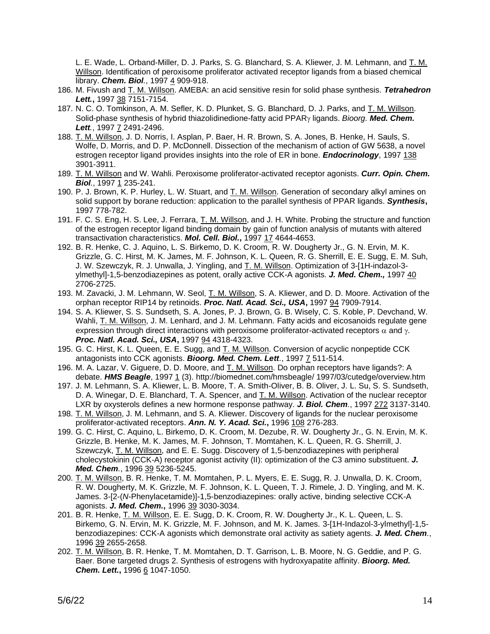L. E. Wade, L. Orband-Miller, D. J. Parks, S. G. Blanchard, S. A. Kliewer, J. M. Lehmann, and T. M. Willson. Identification of peroxisome proliferator activated receptor ligands from a biased chemical library. *Chem. Biol.*, 1997 4 909-918.

- 186. M. Fivush and T. M. Willson. AMEBA: an acid sensitive resin for solid phase synthesis. *Tetrahedron Lett.***,** 1997 38 7151-7154.
- 187. N. C. O. Tomkinson, A. M. Sefler, K. D. Plunket, S. G. Blanchard, D. J. Parks, and T. M. Willson. Solid-phase synthesis of hybrid thiazolidinedione-fatty acid PPAR<sub>Y</sub> ligands. *Bioorg. Med. Chem. Lett.*, 1997 7 2491-2496.
- 188. T. M. Willson, J. D. Norris, I. Asplan, P. Baer, H. R. Brown, S. A. Jones, B. Henke, H. Sauls, S. Wolfe, D. Morris, and D. P. McDonnell. Dissection of the mechanism of action of GW 5638, a novel estrogen receptor ligand provides insights into the role of ER in bone. *Endocrinology*, 1997 138 3901-3911.
- 189. T. M. Willson and W. Wahli. Peroxisome proliferator-activated receptor agonists. *Curr. Opin. Chem. Biol.*, 1997 1 235-241.
- 190. P. J. Brown, K. P. Hurley, L. W. Stuart, and T. M. Willson. Generation of secondary alkyl amines on solid support by borane reduction: application to the parallel synthesis of PPAR ligands. *Synthesis***,** 1997 778-782.
- 191. F. C. S. Eng, H. S. Lee, J. Ferrara, T. M. Willson, and J. H. White. Probing the structure and function of the estrogen receptor ligand binding domain by gain of function analysis of mutants with altered transactivation characteristics. *Mol. Cell. Biol.***,** 1997 17 4644-4653.
- 192. B. R. Henke, C. J. Aquino, L. S. Birkemo, D. K. Croom, R. W. Dougherty Jr., G. N. Ervin, M. K. Grizzle, G. C. Hirst, M. K. James, M. F. Johnson, K. L. Queen, R. G. Sherrill, E. E. Sugg, E. M. Suh, J. W. Szewczyk, R. J. Unwalla, J. Yingling, and T. M. Willson. Optimization of 3-[1H-indazol-3 ylmethyl]-1,5-benzodiazepines as potent, orally active CCK-A agonists. *J. Med. Chem.,* 1997 40 2706-2725.
- 193. M. Zavacki, J. M. Lehmann, W. Seol, T. M. Willson, S. A. Kliewer, and D. D. Moore. Activation of the orphan receptor RIP14 by retinoids. *Proc. Natl. Acad. Sci., USA***,** 1997 94 7909-7914.
- 194. S. A. Kliewer, S. S. Sundseth, S. A. Jones, P. J. Brown, G. B. Wisely, C. S. Koble, P. Devchand, W. Wahli, T. M. Willson, J. M. Lenhard, and J. M. Lehmann. Fatty acids and eicosanoids regulate gene expression through direct interactions with peroxisome proliferator-activated receptors  $\alpha$  and  $\gamma$ . *Proc. Natl. Acad. Sci., USA***,** 1997 94 4318-4323.
- 195. G. C. Hirst, K. L. Queen, E. E. Sugg, and T. M. Willson. Conversion of acyclic nonpeptide CCK antagonists into CCK agonists. *Bioorg. Med. Chem. Lett.*, 1997 7 511-514.
- 196. M. A. Lazar, V. Giguere, D. D. Moore, and T. M. Willson. Do orphan receptors have ligands?: A debate. *HMS Beagle*, 1997 1 (3). http://biomednet.com/hmsbeagle/ 1997/03/cutedge/overview.htm
- 197. J. M. Lehmann, S. A. Kliewer, L. B. Moore, T. A. Smith-Oliver, B. B. Oliver, J. L. Su, S. S. Sundseth, D. A. Winegar, D. E. Blanchard, T. A. Spencer, and T. M. Willson. Activation of the nuclear receptor LXR by oxysterols defines a new hormone response pathway. *J. Biol. Chem.*, 1997 272 3137-3140.
- 198. T. M. Willson, J. M. Lehmann, and S. A. Kliewer. Discovery of ligands for the nuclear peroxisome proliferator-activated receptors. *Ann. N. Y. Acad. Sci.***,** 1996 108 276-283.
- 199. G. C. Hirst, C. Aquino, L. Birkemo, D. K. Croom, M. Dezube, R. W. Dougherty Jr., G. N. Ervin, M. K. Grizzle, B. Henke, M. K. James, M. F. Johnson, T. Momtahen, K. L. Queen, R. G. Sherrill, J. Szewczyk, T. M. Willson, and E. E. Sugg. Discovery of 1,5-benzodiazepines with peripheral cholecystokinin (CCK-A) receptor agonist activity (II): optimization of the C3 amino substituent. *J. Med. Chem.*, 1996 39 5236-5245.
- 200. T. M. Willson, B. R. Henke, T. M. Momtahen, P. L. Myers, E. E. Sugg, R. J. Unwalla, D. K. Croom, R. W. Dougherty, M. K. Grizzle, M. F. Johnson, K. L. Queen, T. J. Rimele, J. D. Yingling, and M. K. James. 3-[2-(*N*-Phenylacetamide)]-1,5-benzodiazepines: orally active, binding selective CCK-A agonists. *J. Med. Chem.***,** 1996 39 3030-3034.
- 201. B. R. Henke, T. M. Willson, E. E. Sugg, D. K. Croom, R. W. Dougherty Jr., K. L. Queen, L. S. Birkemo, G. N. Ervin, M. K. Grizzle, M. F. Johnson, and M. K. James. 3-[1H-Indazol-3-ylmethyl]-1,5 benzodiazepines: CCK-A agonists which demonstrate oral activity as satiety agents. *J. Med. Chem.*, 1996 39 2655-2658.
- 202. T. M. Willson, B. R. Henke, T. M. Momtahen, D. T. Garrison, L. B. Moore, N. G. Geddie, and P. G. Baer. Bone targeted drugs 2. Synthesis of estrogens with hydroxyapatite affinity. *Bioorg. Med. Chem. Lett.***,** 1996 6 1047-1050.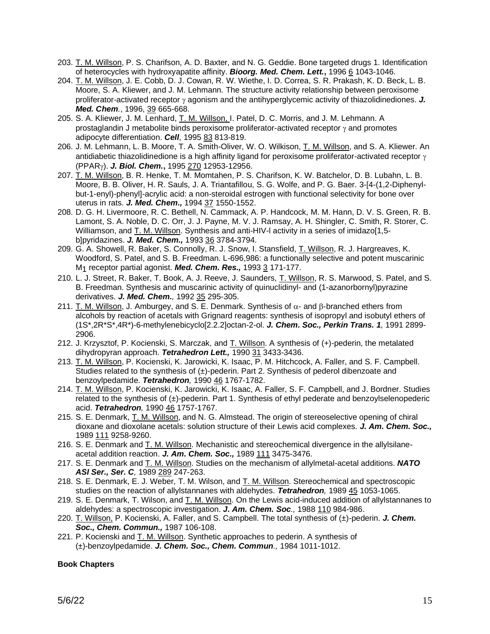- 203. T. M. Willson, P. S. Charifson, A. D. Baxter, and N. G. Geddie. Bone targeted drugs 1. Identification of heterocycles with hydroxyapatite affinity. *Bioorg. Med. Chem. Lett.***,** 1996 6 1043-1046.
- 204. T. M. Willson, J. E. Cobb, D. J. Cowan, R. W. Wiethe, I. D. Correa, S. R. Prakash, K. D. Beck, L. B. Moore, S. A. Kliewer, and J. M. Lehmann. The structure activity relationship between peroxisome proliferator-activated receptor  $\gamma$  agonism and the antihyperglycemic activity of thiazolidinediones.  $J$ . *Med. Chem.*, 1996, 39 665-668.
- 205. S. A. Kliewer, J. M. Lenhard, T. M. Willson, I. Patel, D. C. Morris, and J. M. Lehmann. A prostaglandin J metabolite binds peroxisome proliferator-activated receptor  $\gamma$  and promotes adipocyte differentiation. *Cell*, 1995 83 813-819.
- 206. J. M. Lehmann, L. B. Moore, T. A. Smith-Oliver, W. O. Wilkison, T. M. Willson, and S. A. Kliewer. An antidiabetic thiazolidinedione is a high affinity ligand for peroxisome proliferator-activated receptor  $\gamma$ (PPAR). *J. Biol. Chem.***,** 1995 270 12953-12956.
- 207. T. M. Willson, B. R. Henke, T. M. Momtahen, P. S. Charifson, K. W. Batchelor, D. B. Lubahn, L. B. Moore, B. B. Oliver, H. R. Sauls, J. A. Triantafillou, S. G. Wolfe, and P. G. Baer. 3-[4-(1,2-Diphenylbut-1-enyl)-phenyl]-acrylic acid: a non-steroidal estrogen with functional selectivity for bone over uterus in rats. *J. Med. Chem.,* 1994 37 1550-1552.
- 208. D. G. H. Livermoore, R. C. Bethell, N. Cammack, A. P. Handcock, M. M. Hann, D. V. S. Green, R. B. Lamont, S. A. Noble, D. C. Orr, J. J. Payne, M. V. J. Ramsay, A. H. Shingler, C. Smith, R. Storer, C. Williamson, and T. M. Willson, Synthesis and anti-HIV-I activity in a series of imidazo[1,5b]pyridazines. *J. Med. Chem.,* 1993 36 3784-3794.
- 209. G. A. Showell, R. Baker, S. Connolly, R. J. Snow, I. Stansfield, T. Willson, R. J. Hargreaves, K. Woodford, S. Patel, and S. B. Freedman. L-696,986: a functionally selective and potent muscarinic M1 receptor partial agonist. *Med. Chem. Res.,* 1993 3 171-177.
- 210. L. J. Street, R. Baker, T. Book, A. J. Reeve, J. Saunders, T. Willson, R. S. Marwood, S. Patel, and S. B. Freedman. Synthesis and muscarinic activity of quinuclidinyl- and (1-azanorbornyl)pyrazine derivatives. *J. Med. Chem.,* 1992 35 295-305.
- 211. T. M. Willson, J. Amburgey, and S. E. Denmark. Synthesis of  $\alpha$  and  $\beta$ -branched ethers from alcohols by reaction of acetals with Grignard reagents: synthesis of isopropyl and isobutyl ethers of (1S\*,2R\*S\*,4R\*)-6-methylenebicyclo[2.2.2]octan-2-ol. *J. Chem. Soc., Perkin Trans. 1,* 1991 2899- 2906.
- 212. J. Krzysztof, P. Kocienski, S. Marczak, and T. Willson. A synthesis of (+)-pederin, the metalated dihydropyran approach. *Tetrahedron Lett.,* 1990 31 3433-3436.
- 213. T. M. Willson, P. Kocienski, K. Jarowicki, K. Isaac, P. M. Hitchcock, A. Faller, and S. F. Campbell. Studies related to the synthesis of  $(\pm)$ -pederin. Part 2. Synthesis of pederol dibenzoate and benzoylpedamide. *Tetrahedron,* 1990 46 1767-1782.
- 214. T. M. Willson, P. Kocienski, K. Jarowicki, K. Isaac, A. Faller, S. F. Campbell, and J. Bordner. Studies related to the synthesis of (±)-pederin. Part 1. Synthesis of ethyl pederate and benzoylselenopederic acid. *Tetrahedron,* 1990 46 1757-1767.
- 215. S. E. Denmark, T. M. Willson, and N. G. Almstead. The origin of stereoselective opening of chiral dioxane and dioxolane acetals: solution structure of their Lewis acid complexes. *J. Am. Chem. Soc.,*  1989 111 9258-9260.
- 216. S. E. Denmark and T. M. Willson. Mechanistic and stereochemical divergence in the allylsilaneacetal addition reaction. *J. Am. Chem. Soc.,* 1989 111 3475-3476.
- 217. S. E. Denmark and T. M. Willson. Studies on the mechanism of allylmetal-acetal additions. *NATO ASI Ser., Ser. C,* 1989 289 247-263.
- 218. S. E. Denmark, E. J. Weber, T. M. Wilson, and T. M. Willson. Stereochemical and spectroscopic studies on the reaction of allylstannanes with aldehydes. *Tetrahedron,* 1989 45 1053-1065.
- 219. S. E. Denmark, T. Wilson, and  $\underline{T}$ . M. Willson. On the Lewis acid-induced addition of allylstannanes to aldehydes: a spectroscopic investigation. *J. Am. Chem. Soc.,* 1988 110 984-986.
- 220. T. Willson, P. Kocienski, A. Faller, and S. Campbell. The total synthesis of (±)-pederin. *J. Chem. Soc., Chem. Commun.,* 1987 106-108.
- 221. P. Kocienski and T. M. Willson. Synthetic approaches to pederin. A synthesis of (±)-benzoylpedamide. *J. Chem. Soc., Chem. Commun.,* 1984 1011-1012.

## **Book Chapters**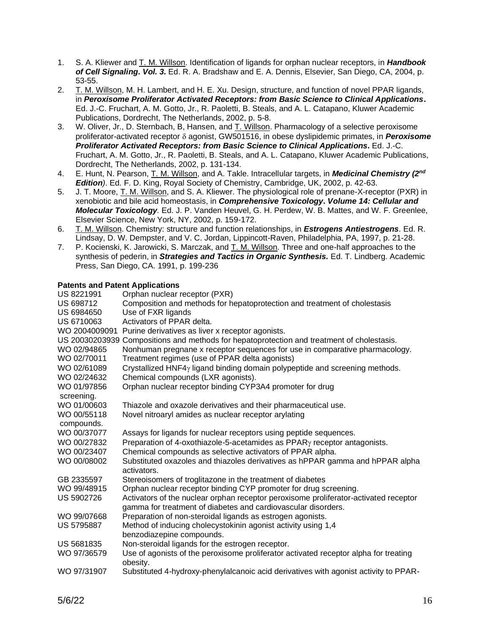- 1. S. A. Kliewer and T. M. Willson. Identification of ligands for orphan nuclear receptors, in *Handbook of Cell Signaling***.** *Vol. 3***.** Ed. R. A. Bradshaw and E. A. Dennis, Elsevier, San Diego, CA, 2004, p. 53-55.
- 2. T. M. Willson, M. H. Lambert, and H. E. Xu. Design, structure, and function of novel PPAR ligands, in *Peroxisome Proliferator Activated Receptors: from Basic Science to Clinical Applications***.** Ed. J.-C. Fruchart, A. M. Gotto, Jr., R. Paoletti, B. Steals, and A. L. Catapano, Kluwer Academic Publications, Dordrecht, The Netherlands, 2002, p. 5-8.
- 3. W. Oliver, Jr., D. Sternbach, B, Hansen, and T. Willson. Pharmacology of a selective peroxisome proliferator-activated receptor  $\delta$  agonist, GW501516, in obese dyslipidemic primates, in *Peroxisome Proliferator Activated Receptors: from Basic Science to Clinical Applications***.** Ed. J.-C. Fruchart, A. M. Gotto, Jr., R. Paoletti, B. Steals, and A. L. Catapano, Kluwer Academic Publications, Dordrecht, The Netherlands, 2002, p. 131-134.
- 4. E. Hunt, N. Pearson, T. M. Willson, and A. Takle. Intracellular targets, in *Medicinal Chemistry (2nd Edition)*. Ed. F. D. King, Royal Society of Chemistry, Cambridge, UK, 2002, p. 42-63.
- 5. J. T. Moore, T. M. Willson, and S. A. Kliewer. The physiological role of prenane-X-receptor (PXR) in xenobiotic and bile acid homeostasis, in *Comprehensive Toxicology***.** *Volume 14: Cellular and Molecular Toxicology.* Ed. J. P. Vanden Heuvel, G. H. Perdew, W. B. Mattes, and W. F. Greenlee, Elsevier Science, New York, NY, 2002, p. 159-172.
- 6. T. M. Willson. Chemistry: structure and function relationships, in *Estrogens Antiestrogens.* Ed. R. Lindsay, D. W. Dempster, and V. C. Jordan, Lippincott-Raven, Philadelphia, PA, 1997, p. 21-28.
- 7. P. Kocienski, K. Jarowicki, S. Marczak, and T. M. Willson. Three and one-half approaches to the synthesis of pederin, in *Strategies and Tactics in Organic Synthesis.* Ed. T. Lindberg. Academic Press, San Diego, CA. 1991, p. 199-236

## **Patents and Patent Applications**

| Palents and Palent Applications |                                                                                                                                                       |
|---------------------------------|-------------------------------------------------------------------------------------------------------------------------------------------------------|
| US 8221991                      | Orphan nuclear receptor (PXR)                                                                                                                         |
| US 698712                       | Composition and methods for hepatoprotection and treatment of cholestasis                                                                             |
| US 6984650                      | Use of FXR ligands                                                                                                                                    |
| US 6710063                      | Activators of PPAR delta.                                                                                                                             |
|                                 | WO 2004009091 Purine derivatives as liver x receptor agonists.                                                                                        |
|                                 | US 20030203939 Compositions and methods for hepatoprotection and treatment of cholestasis.                                                            |
| WO 02/94865                     | Nonhuman pregnane x receptor sequences for use in comparative pharmacology.                                                                           |
| WO 02/70011                     | Treatment regimes (use of PPAR delta agonists)                                                                                                        |
| WO 02/61089                     | Crystallized HNF4 $\gamma$ ligand binding domain polypeptide and screening methods.                                                                   |
| WO 02/24632                     | Chemical compounds (LXR agonists).                                                                                                                    |
| WO 01/97856<br>screening.       | Orphan nuclear receptor binding CYP3A4 promoter for drug                                                                                              |
| WO 01/00603                     | Thiazole and oxazole derivatives and their pharmaceutical use.                                                                                        |
| WO 00/55118<br>compounds.       | Novel nitroaryl amides as nuclear receptor arylating                                                                                                  |
| WO 00/37077                     | Assays for ligands for nuclear receptors using peptide sequences.                                                                                     |
| WO 00/27832                     | Preparation of 4-oxothiazole-5-acetamides as PPAR <sub>Y</sub> receptor antagonists.                                                                  |
| WO 00/23407                     | Chemical compounds as selective activators of PPAR alpha.                                                                                             |
| WO 00/08002                     | Substituted oxazoles and thiazoles derivatives as hPPAR gamma and hPPAR alpha<br>activators.                                                          |
| GB 2335597                      | Stereoisomers of troglitazone in the treatment of diabetes                                                                                            |
| WO 99/48915                     | Orphan nuclear receptor binding CYP promoter for drug screening.                                                                                      |
| <b>US 5902726</b>               | Activators of the nuclear orphan receptor peroxisome proliferator-activated receptor<br>gamma for treatment of diabetes and cardiovascular disorders. |
| WO 99/07668                     | Preparation of non-steroidal ligands as estrogen agonists.                                                                                            |
| <b>US 5795887</b>               | Method of inducing cholecystokinin agonist activity using 1,4                                                                                         |
|                                 | benzodiazepine compounds.                                                                                                                             |
| <b>US 5681835</b>               | Non-steroidal ligands for the estrogen receptor.                                                                                                      |
| WO 97/36579                     | Use of agonists of the peroxisome proliferator activated receptor alpha for treating<br>obesity.                                                      |
| WO 97/31907                     | Substituted 4-hydroxy-phenylalcanoic acid derivatives with agonist activity to PPAR-                                                                  |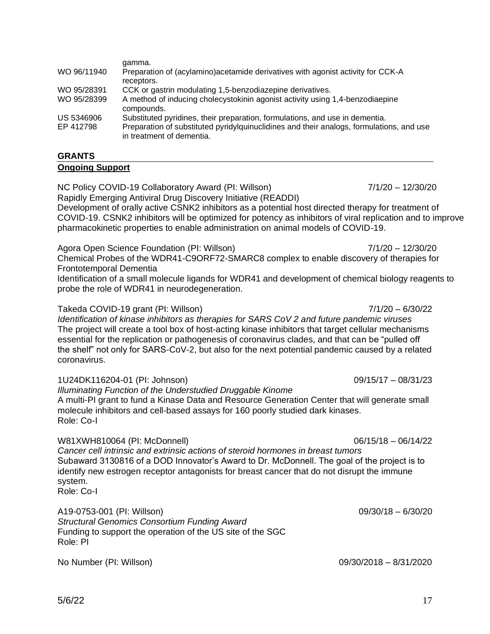| WO 96/11940 | Preparation of (acylamino) acetamide derivatives with agonist activity for CCK-A                                      |
|-------------|-----------------------------------------------------------------------------------------------------------------------|
|             | receptors.                                                                                                            |
| WO 95/28391 | CCK or gastrin modulating 1,5-benzodiazepine derivatives.                                                             |
| WO 95/28399 | A method of inducing cholecystokinin agonist activity using 1,4-benzodiaepine<br>compounds.                           |
| US 5346906  | Substituted pyridines, their preparation, formulations, and use in dementia.                                          |
| EP 412798   | Preparation of substituted pyridylguinuclidines and their analogs, formulations, and use<br>in treatment of dementia. |
|             |                                                                                                                       |

# **GRANTS**

## **Ongoing Support**

NC Policy COVID-19 Collaboratory Award (PI: Willson) 7/1/20 - 12/30/20 Rapidly Emerging Antiviral Drug Discovery Initiative (READDI)

Development of orally active CSNK2 inhibitors as a potential host directed therapy for treatment of COVID-19. CSNK2 inhibitors will be optimized for potency as inhibitors of viral replication and to improve pharmacokinetic properties to enable administration on animal models of COVID-19.

Agora Open Science Foundation (PI: Willson)  $7/1/20 - 12/30/20$ Chemical Probes of the WDR41-C9ORF72-SMARC8 complex to enable discovery of therapies for Frontotemporal Dementia

Identification of a small molecule ligands for WDR41 and development of chemical biology reagents to probe the role of WDR41 in neurodegeneration.

## Takeda COVID-19 grant (PI: Willson) 7/1/20 – 6/30/22

gamma.

*Identification of kinase inhibitors as therapies for SARS CoV 2 and future pandemic viruses* The project will create a tool box of host-acting kinase inhibitors that target cellular mechanisms essential for the replication or pathogenesis of coronavirus clades, and that can be "pulled off the shelf" not only for SARS-CoV-2, but also for the next potential pandemic caused by a related coronavirus.

1U24DK116204-01 (PI: Johnson) 09/15/17 – 08/31/23

*Illuminating Function of the Understudied Druggable Kinome* A multi-PI grant to fund a Kinase Data and Resource Generation Center that will generate small molecule inhibitors and cell-based assays for 160 poorly studied dark kinases. Role: Co-I

W81XWH810064 (PI: McDonnell) 06/15/18 – 06/14/22

*Cancer cell intrinsic and extrinsic actions of steroid hormones in breast tumors* Subaward 3130816 of a DOD Innovator's Award to Dr. McDonnell. The goal of the project is to identify new estrogen receptor antagonists for breast cancer that do not disrupt the immune system.

Role: Co-I

A19-0753-001 (PI: Willson) 09/30/18 – 6/30/20 *Structural Genomics Consortium Funding Award* Funding to support the operation of the US site of the SGC Role: PI

No Number (PI: Willson) 09/30/2018 – 8/31/2020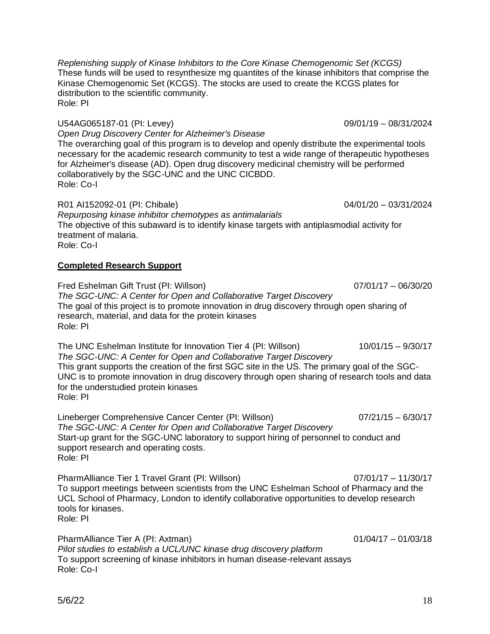*Replenishing supply of Kinase Inhibitors to the Core Kinase Chemogenomic Set (KCGS)* These funds will be used to resynthesize mg quantites of the kinase inhibitors that comprise the Kinase Chemogenomic Set (KCGS). The stocks are used to create the KCGS plates for distribution to the scientific community. Role: PI

## U54AG065187-01 (PI: Levey) 09/01/19 – 08/31/2024

*Open Drug Discovery Center for Alzheimer's Disease* The overarching goal of this program is to develop and openly distribute the experimental tools necessary for the academic research community to test a wide range of therapeutic hypotheses for Alzheimer's disease (AD). Open drug discovery medicinal chemistry will be performed collaboratively by the SGC-UNC and the UNC CICBDD. Role: Co-I

R01 AI152092-01 (PI: Chibale) 04/01/20 – 03/31/2024 *Repurposing kinase inhibitor chemotypes as antimalarials* The objective of this subaward is to identify kinase targets with antiplasmodial activity for treatment of malaria. Role: Co-I

#### **Completed Research Support**

Fred Eshelman Gift Trust (PI: Willson) 07/01/17 – 06/30/20 *The SGC-UNC: A Center for Open and Collaborative Target Discovery* The goal of this project is to promote innovation in drug discovery through open sharing of research, material, and data for the protein kinases Role: PI

The UNC Eshelman Institute for Innovation Tier 4 (PI: Willson) 10/01/15 – 9/30/17 *The SGC-UNC: A Center for Open and Collaborative Target Discovery* This grant supports the creation of the first SGC site in the US. The primary goal of the SGC-UNC is to promote innovation in drug discovery through open sharing of research tools and data for the understudied protein kinases Role: PI

Lineberger Comprehensive Cancer Center (PI: Willson) 07/21/15 – 6/30/17 *The SGC-UNC: A Center for Open and Collaborative Target Discovery* Start-up grant for the SGC-UNC laboratory to support hiring of personnel to conduct and support research and operating costs. Role: PI

PharmAlliance Tier 1 Travel Grant (PI: Willson) 07/01/17 – 11/30/17 To support meetings between scientists from the UNC Eshelman School of Pharmacy and the UCL School of Pharmacy, London to identify collaborative opportunities to develop research tools for kinases. Role: PI

PharmAlliance Tier A (PI: Axtman) 01/04/17 – 01/03/18 *Pilot studies to establish a UCL/UNC kinase drug discovery platform* To support screening of kinase inhibitors in human disease-relevant assays Role: Co-I